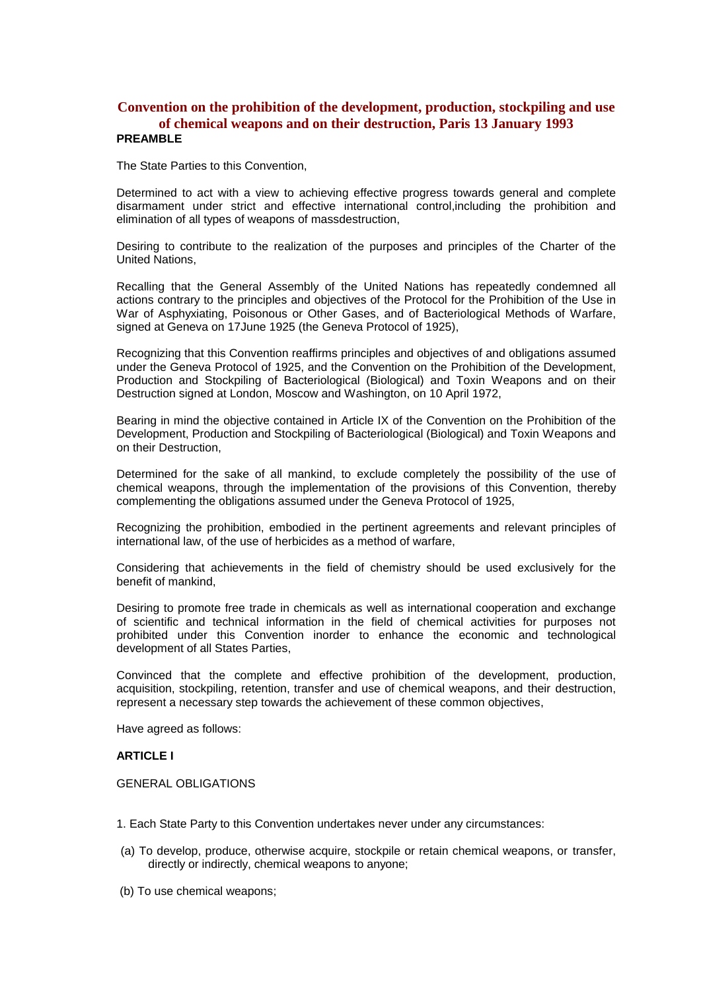# **Convention on the prohibition of the development, production, stockpiling and use of chemical weapons and on their destruction, Paris 13 January 1993 PREAMBLE**

The State Parties to this Convention,

Determined to act with a view to achieving effective progress towards general and complete disarmament under strict and effective international control,including the prohibition and elimination of all types of weapons of massdestruction,

Desiring to contribute to the realization of the purposes and principles of the Charter of the United Nations,

Recalling that the General Assembly of the United Nations has repeatedly condemned all actions contrary to the principles and objectives of the Protocol for the Prohibition of the Use in War of Asphyxiating, Poisonous or Other Gases, and of Bacteriological Methods of Warfare, signed at Geneva on 17June 1925 (the Geneva Protocol of 1925),

Recognizing that this Convention reaffirms principles and objectives of and obligations assumed under the Geneva Protocol of 1925, and the Convention on the Prohibition of the Development, Production and Stockpiling of Bacteriological (Biological) and Toxin Weapons and on their Destruction signed at London, Moscow and Washington, on 10 April 1972,

Bearing in mind the objective contained in Article IX of the Convention on the Prohibition of the Development, Production and Stockpiling of Bacteriological (Biological) and Toxin Weapons and on their Destruction,

Determined for the sake of all mankind, to exclude completely the possibility of the use of chemical weapons, through the implementation of the provisions of this Convention, thereby complementing the obligations assumed under the Geneva Protocol of 1925,

Recognizing the prohibition, embodied in the pertinent agreements and relevant principles of international law, of the use of herbicides as a method of warfare,

Considering that achievements in the field of chemistry should be used exclusively for the benefit of mankind,

Desiring to promote free trade in chemicals as well as international cooperation and exchange of scientific and technical information in the field of chemical activities for purposes not prohibited under this Convention inorder to enhance the economic and technological development of all States Parties,

Convinced that the complete and effective prohibition of the development, production, acquisition, stockpiling, retention, transfer and use of chemical weapons, and their destruction, represent a necessary step towards the achievement of these common objectives,

Have agreed as follows:

### **ARTICLE I**

GENERAL OBLIGATIONS

- 1. Each State Party to this Convention undertakes never under any circumstances:
- (a) To develop, produce, otherwise acquire, stockpile or retain chemical weapons, or transfer, directly or indirectly, chemical weapons to anyone;
- (b) To use chemical weapons;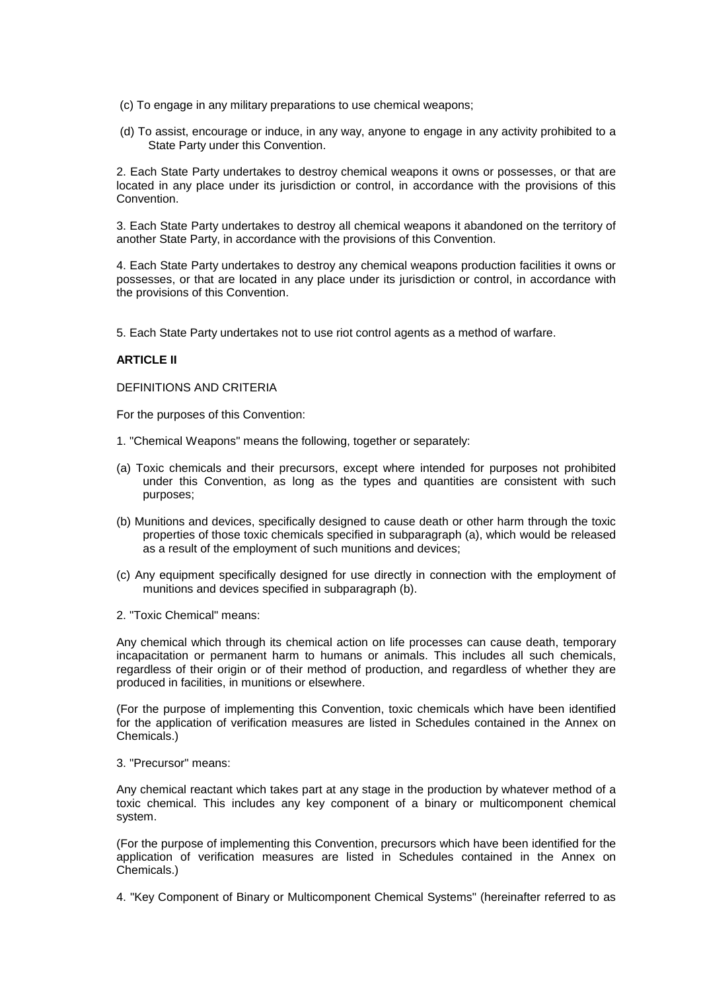- (c) To engage in any military preparations to use chemical weapons;
- (d) To assist, encourage or induce, in any way, anyone to engage in any activity prohibited to a State Party under this Convention.

2. Each State Party undertakes to destroy chemical weapons it owns or possesses, or that are located in any place under its jurisdiction or control, in accordance with the provisions of this Convention.

3. Each State Party undertakes to destroy all chemical weapons it abandoned on the territory of another State Party, in accordance with the provisions of this Convention.

4. Each State Party undertakes to destroy any chemical weapons production facilities it owns or possesses, or that are located in any place under its jurisdiction or control, in accordance with the provisions of this Convention.

5. Each State Party undertakes not to use riot control agents as a method of warfare.

## **ARTICLE II**

## DEFINITIONS AND CRITERIA

For the purposes of this Convention:

- 1. "Chemical Weapons" means the following, together or separately:
- (a) Toxic chemicals and their precursors, except where intended for purposes not prohibited under this Convention, as long as the types and quantities are consistent with such purposes;
- (b) Munitions and devices, specifically designed to cause death or other harm through the toxic properties of those toxic chemicals specified in subparagraph (a), which would be released as a result of the employment of such munitions and devices;
- (c) Any equipment specifically designed for use directly in connection with the employment of munitions and devices specified in subparagraph (b).
- 2. "Toxic Chemical" means:

Any chemical which through its chemical action on life processes can cause death, temporary incapacitation or permanent harm to humans or animals. This includes all such chemicals, regardless of their origin or of their method of production, and regardless of whether they are produced in facilities, in munitions or elsewhere.

(For the purpose of implementing this Convention, toxic chemicals which have been identified for the application of verification measures are listed in Schedules contained in the Annex on Chemicals.)

3. "Precursor" means:

Any chemical reactant which takes part at any stage in the production by whatever method of a toxic chemical. This includes any key component of a binary or multicomponent chemical system.

(For the purpose of implementing this Convention, precursors which have been identified for the application of verification measures are listed in Schedules contained in the Annex on Chemicals.)

4. "Key Component of Binary or Multicomponent Chemical Systems" (hereinafter referred to as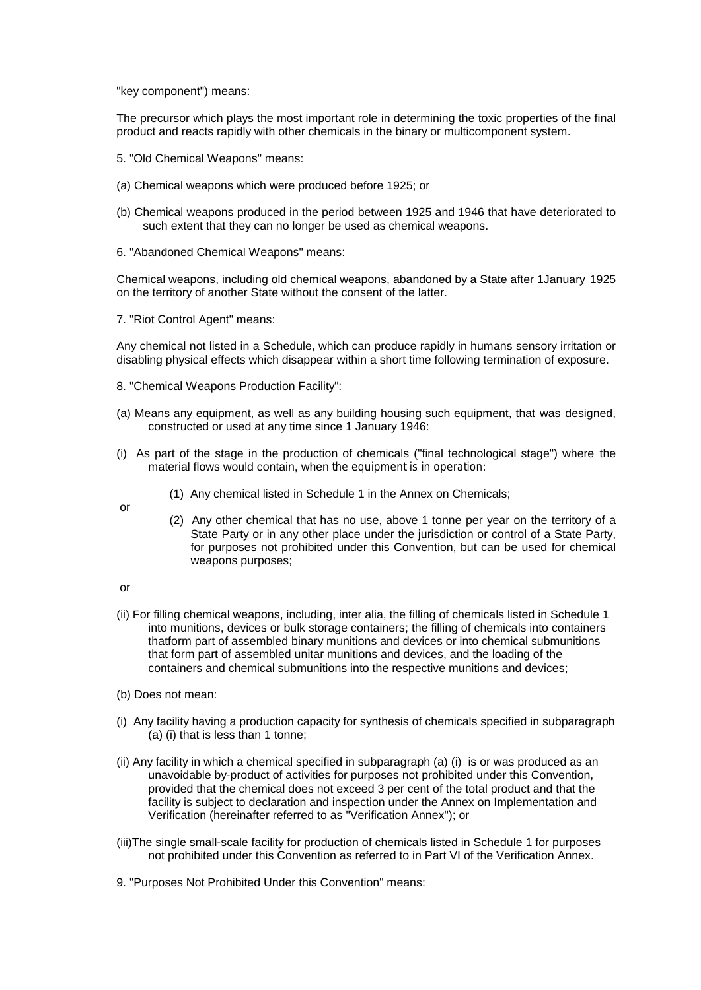"key component") means:

The precursor which plays the most important role in determining the toxic properties of the final product and reacts rapidly with other chemicals in the binary or multicomponent system.

- 5. "Old Chemical Weapons" means:
- (a) Chemical weapons which were produced before 1925; or
- (b) Chemical weapons produced in the period between 1925 and 1946 that have deteriorated to such extent that they can no longer be used as chemical weapons.
- 6. "Abandoned Chemical Weapons" means:

Chemical weapons, including old chemical weapons, abandoned by a State after 1January 1925 on the territory of another State without the consent of the latter.

7. "Riot Control Agent" means:

Any chemical not listed in a Schedule, which can produce rapidly in humans sensory irritation or disabling physical effects which disappear within a short time following termination of exposure.

- 8. "Chemical Weapons Production Facility":
- (a) Means any equipment, as well as any building housing such equipment, that was designed, constructed or used at any time since 1 January 1946:
- (i) As part of the stage in the production of chemicals ("final technological stage") where the material flows would contain, when the equipment is in operation:
	- (1) Any chemical listed in Schedule 1 in the Annex on Chemicals;
	- (2) Any other chemical that has no use, above 1 tonne per year on the territory of a State Party or in any other place under the jurisdiction or control of a State Party, for purposes not prohibited under this Convention, but can be used for chemical weapons purposes;
- or

or

- (ii) For filling chemical weapons, including, inter alia, the filling of chemicals listed in Schedule 1 into munitions, devices or bulk storage containers; the filling of chemicals into containers thatform part of assembled binary munitions and devices or into chemical submunitions that form part of assembled unitar munitions and devices, and the loading of the containers and chemical submunitions into the respective munitions and devices;
- (b) Does not mean:
- (i) Any facility having a production capacity for synthesis of chemicals specified in subparagraph (a) (i) that is less than 1 tonne;
- (ii) Any facility in which a chemical specified in subparagraph (a) (i) is or was produced as an unavoidable by-product of activities for purposes not prohibited under this Convention, provided that the chemical does not exceed 3 per cent of the total product and that the facility is subject to declaration and inspection under the Annex on Implementation and Verification (hereinafter referred to as "Verification Annex"); or
- (iii)The single small-scale facility for production of chemicals listed in Schedule 1 for purposes not prohibited under this Convention as referred to in Part VI of the Verification Annex.
- 9. "Purposes Not Prohibited Under this Convention" means: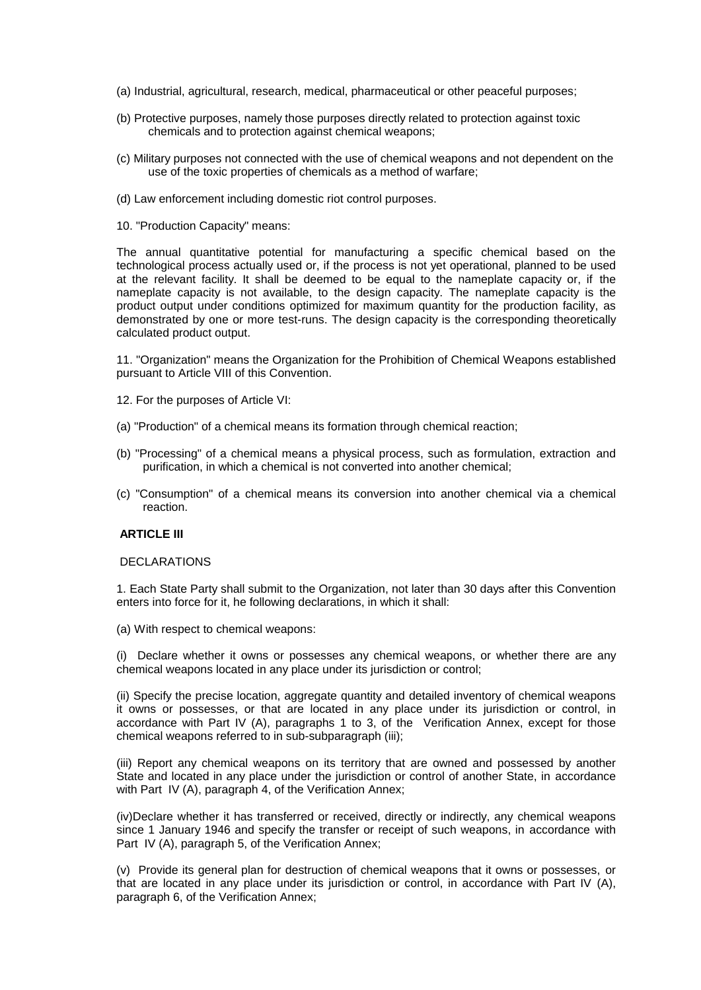- (a) Industrial, agricultural, research, medical, pharmaceutical or other peaceful purposes;
- (b) Protective purposes, namely those purposes directly related to protection against toxic chemicals and to protection against chemical weapons;
- (c) Military purposes not connected with the use of chemical weapons and not dependent on the use of the toxic properties of chemicals as a method of warfare;
- (d) Law enforcement including domestic riot control purposes.
- 10. "Production Capacity" means:

The annual quantitative potential for manufacturing a specific chemical based on the technological process actually used or, if the process is not yet operational, planned to be used at the relevant facility. It shall be deemed to be equal to the nameplate capacity or, if the nameplate capacity is not available, to the design capacity. The nameplate capacity is the product output under conditions optimized for maximum quantity for the production facility, as demonstrated by one or more test-runs. The design capacity is the corresponding theoretically calculated product output.

11. "Organization" means the Organization for the Prohibition of Chemical Weapons established pursuant to Article VIII of this Convention.

- 12. For the purposes of Article VI:
- (a) "Production" of a chemical means its formation through chemical reaction;
- (b) "Processing" of a chemical means a physical process, such as formulation, extraction and purification, in which a chemical is not converted into another chemical;
- (c) "Consumption" of a chemical means its conversion into another chemical via a chemical reaction.

#### **ARTICLE III**

## DECLARATIONS

1. Each State Party shall submit to the Organization, not later than 30 days after this Convention enters into force for it, he following declarations, in which it shall:

(a) With respect to chemical weapons:

(i) Declare whether it owns or possesses any chemical weapons, or whether there are any chemical weapons located in any place under its jurisdiction or control;

(ii) Specify the precise location, aggregate quantity and detailed inventory of chemical weapons it owns or possesses, or that are located in any place under its jurisdiction or control, in accordance with Part IV (A), paragraphs 1 to 3, of the Verification Annex, except for those chemical weapons referred to in sub-subparagraph (iii);

(iii) Report any chemical weapons on its territory that are owned and possessed by another State and located in any place under the jurisdiction or control of another State, in accordance with Part IV (A), paragraph 4, of the Verification Annex;

(iv)Declare whether it has transferred or received, directly or indirectly, any chemical weapons since 1 January 1946 and specify the transfer or receipt of such weapons, in accordance with Part IV (A), paragraph 5, of the Verification Annex;

(v) Provide its general plan for destruction of chemical weapons that it owns or possesses, or that are located in any place under its jurisdiction or control, in accordance with Part IV (A), paragraph 6, of the Verification Annex;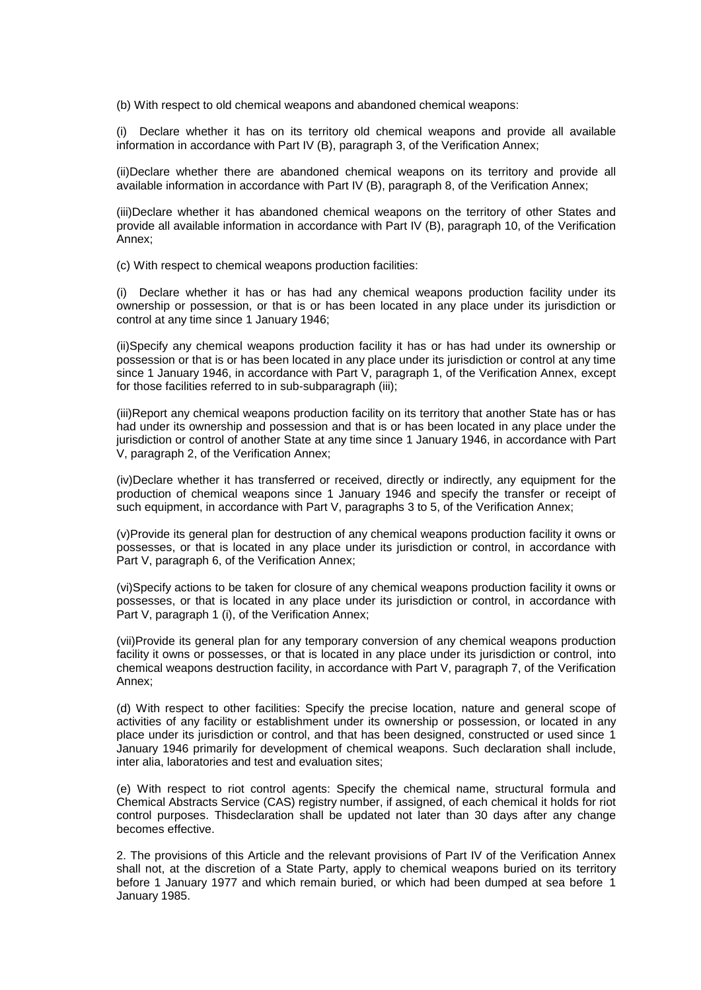(b) With respect to old chemical weapons and abandoned chemical weapons:

(i) Declare whether it has on its territory old chemical weapons and provide all available information in accordance with Part IV (B), paragraph 3, of the Verification Annex;

(ii)Declare whether there are abandoned chemical weapons on its territory and provide all available information in accordance with Part IV (B), paragraph 8, of the Verification Annex;

(iii)Declare whether it has abandoned chemical weapons on the territory of other States and provide all available information in accordance with Part IV (B), paragraph 10, of the Verification Annex;

(c) With respect to chemical weapons production facilities:

(i) Declare whether it has or has had any chemical weapons production facility under its ownership or possession, or that is or has been located in any place under its jurisdiction or control at any time since 1 January 1946;

(ii)Specify any chemical weapons production facility it has or has had under its ownership or possession or that is or has been located in any place under its jurisdiction or control at any time since 1 January 1946, in accordance with Part V, paragraph 1, of the Verification Annex, except for those facilities referred to in sub-subparagraph (iii);

(iii)Report any chemical weapons production facility on its territory that another State has or has had under its ownership and possession and that is or has been located in any place under the jurisdiction or control of another State at any time since 1 January 1946, in accordance with Part V, paragraph 2, of the Verification Annex;

(iv)Declare whether it has transferred or received, directly or indirectly, any equipment for the production of chemical weapons since 1 January 1946 and specify the transfer or receipt of such equipment, in accordance with Part V, paragraphs 3 to 5, of the Verification Annex;

(v)Provide its general plan for destruction of any chemical weapons production facility it owns or possesses, or that is located in any place under its jurisdiction or control, in accordance with Part V, paragraph 6, of the Verification Annex;

(vi)Specify actions to be taken for closure of any chemical weapons production facility it owns or possesses, or that is located in any place under its jurisdiction or control, in accordance with Part V, paragraph 1 (i), of the Verification Annex;

(vii)Provide its general plan for any temporary conversion of any chemical weapons production facility it owns or possesses, or that is located in any place under its jurisdiction or control, into chemical weapons destruction facility, in accordance with Part V, paragraph 7, of the Verification Annex;

(d) With respect to other facilities: Specify the precise location, nature and general scope of activities of any facility or establishment under its ownership or possession, or located in any place under its jurisdiction or control, and that has been designed, constructed or used since 1 January 1946 primarily for development of chemical weapons. Such declaration shall include, inter alia, laboratories and test and evaluation sites;

(e) With respect to riot control agents: Specify the chemical name, structural formula and Chemical Abstracts Service (CAS) registry number, if assigned, of each chemical it holds for riot control purposes. Thisdeclaration shall be updated not later than 30 days after any change becomes effective.

2. The provisions of this Article and the relevant provisions of Part IV of the Verification Annex shall not, at the discretion of a State Party, apply to chemical weapons buried on its territory before 1 January 1977 and which remain buried, or which had been dumped at sea before 1 January 1985.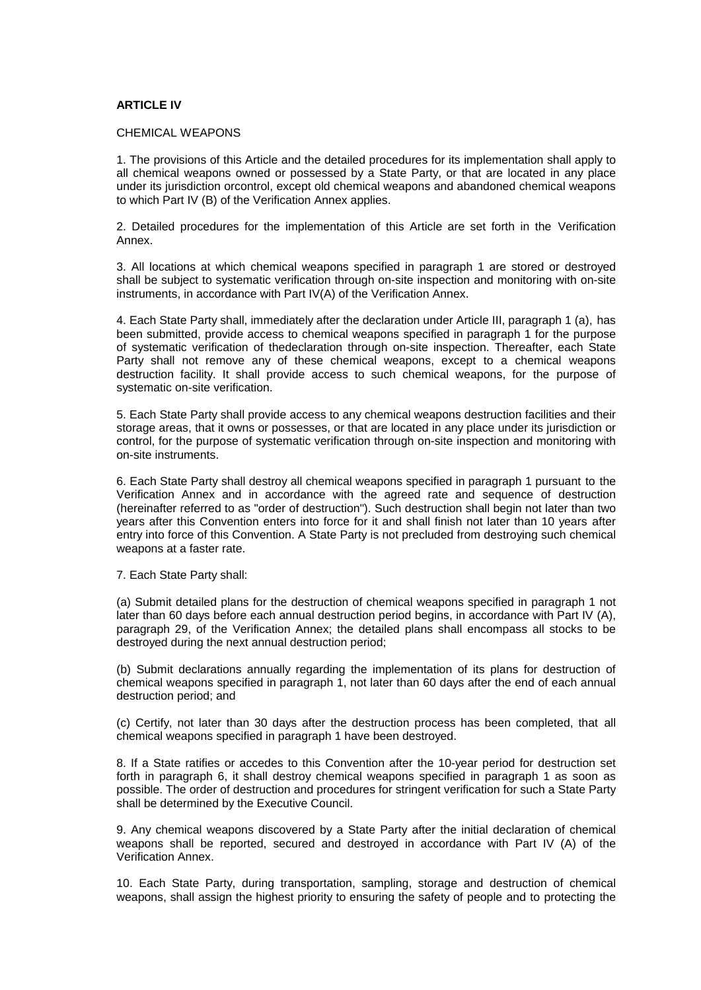## **ARTICLE IV**

### CHEMICAL WEAPONS

1. The provisions of this Article and the detailed procedures for its implementation shall apply to all chemical weapons owned or possessed by a State Party, or that are located in any place under its jurisdiction orcontrol, except old chemical weapons and abandoned chemical weapons to which Part IV (B) of the Verification Annex applies.

2. Detailed procedures for the implementation of this Article are set forth in the Verification Annex.

3. All locations at which chemical weapons specified in paragraph 1 are stored or destroyed shall be subject to systematic verification through on-site inspection and monitoring with on-site instruments, in accordance with Part IV(A) of the Verification Annex.

4. Each State Party shall, immediately after the declaration under Article III, paragraph 1 (a), has been submitted, provide access to chemical weapons specified in paragraph 1 for the purpose of systematic verification of thedeclaration through on-site inspection. Thereafter, each State Party shall not remove any of these chemical weapons, except to a chemical weapons destruction facility. It shall provide access to such chemical weapons, for the purpose of systematic on-site verification.

5. Each State Party shall provide access to any chemical weapons destruction facilities and their storage areas, that it owns or possesses, or that are located in any place under its jurisdiction or control, for the purpose of systematic verification through on-site inspection and monitoring with on-site instruments.

6. Each State Party shall destroy all chemical weapons specified in paragraph 1 pursuant to the Verification Annex and in accordance with the agreed rate and sequence of destruction (hereinafter referred to as "order of destruction"). Such destruction shall begin not later than two years after this Convention enters into force for it and shall finish not later than 10 years after entry into force of this Convention. A State Party is not precluded from destroying such chemical weapons at a faster rate.

7. Each State Party shall:

(a) Submit detailed plans for the destruction of chemical weapons specified in paragraph 1 not later than 60 days before each annual destruction period begins, in accordance with Part IV (A), paragraph 29, of the Verification Annex; the detailed plans shall encompass all stocks to be destroyed during the next annual destruction period;

(b) Submit declarations annually regarding the implementation of its plans for destruction of chemical weapons specified in paragraph 1, not later than 60 days after the end of each annual destruction period; and

(c) Certify, not later than 30 days after the destruction process has been completed, that all chemical weapons specified in paragraph 1 have been destroyed.

8. If a State ratifies or accedes to this Convention after the 10-year period for destruction set forth in paragraph 6, it shall destroy chemical weapons specified in paragraph 1 as soon as possible. The order of destruction and procedures for stringent verification for such a State Party shall be determined by the Executive Council.

9. Any chemical weapons discovered by a State Party after the initial declaration of chemical weapons shall be reported, secured and destroyed in accordance with Part IV (A) of the Verification Annex.

10. Each State Party, during transportation, sampling, storage and destruction of chemical weapons, shall assign the highest priority to ensuring the safety of people and to protecting the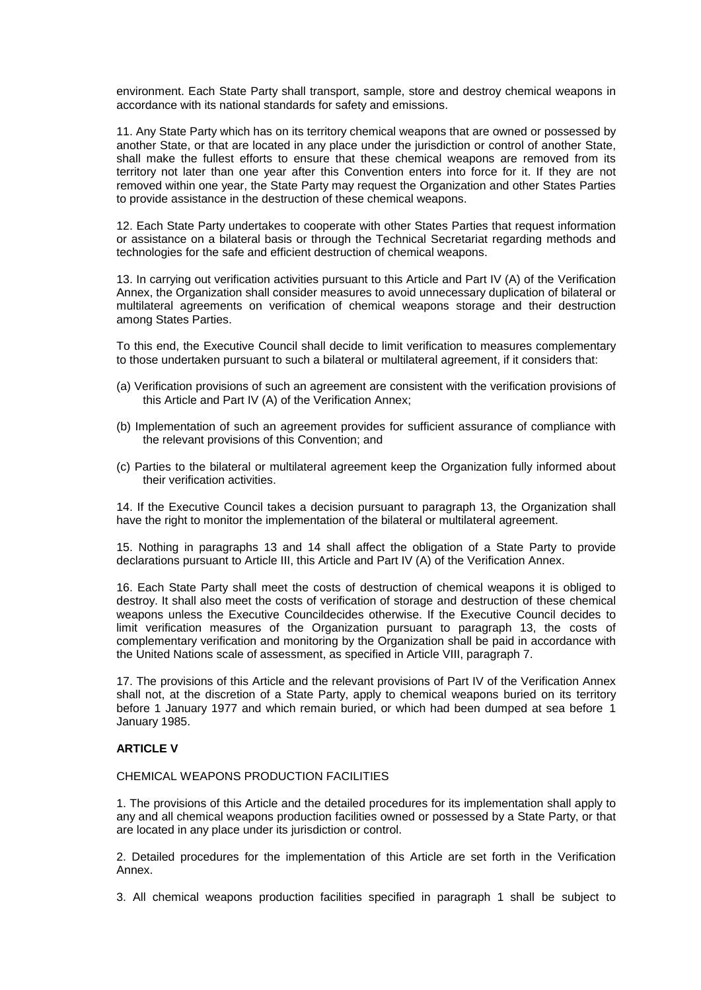environment. Each State Party shall transport, sample, store and destroy chemical weapons in accordance with its national standards for safety and emissions.

11. Any State Party which has on its territory chemical weapons that are owned or possessed by another State, or that are located in any place under the jurisdiction or control of another State, shall make the fullest efforts to ensure that these chemical weapons are removed from its territory not later than one year after this Convention enters into force for it. If they are not removed within one year, the State Party may request the Organization and other States Parties to provide assistance in the destruction of these chemical weapons.

12. Each State Party undertakes to cooperate with other States Parties that request information or assistance on a bilateral basis or through the Technical Secretariat regarding methods and technologies for the safe and efficient destruction of chemical weapons.

13. In carrying out verification activities pursuant to this Article and Part IV (A) of the Verification Annex, the Organization shall consider measures to avoid unnecessary duplication of bilateral or multilateral agreements on verification of chemical weapons storage and their destruction among States Parties.

To this end, the Executive Council shall decide to limit verification to measures complementary to those undertaken pursuant to such a bilateral or multilateral agreement, if it considers that:

- (a) Verification provisions of such an agreement are consistent with the verification provisions of this Article and Part IV (A) of the Verification Annex;
- (b) Implementation of such an agreement provides for sufficient assurance of compliance with the relevant provisions of this Convention; and
- (c) Parties to the bilateral or multilateral agreement keep the Organization fully informed about their verification activities.

14. If the Executive Council takes a decision pursuant to paragraph 13, the Organization shall have the right to monitor the implementation of the bilateral or multilateral agreement.

15. Nothing in paragraphs 13 and 14 shall affect the obligation of a State Party to provide declarations pursuant to Article III, this Article and Part IV (A) of the Verification Annex.

16. Each State Party shall meet the costs of destruction of chemical weapons it is obliged to destroy. It shall also meet the costs of verification of storage and destruction of these chemical weapons unless the Executive Councildecides otherwise. If the Executive Council decides to limit verification measures of the Organization pursuant to paragraph 13, the costs of complementary verification and monitoring by the Organization shall be paid in accordance with the United Nations scale of assessment, as specified in Article VIII, paragraph 7.

17. The provisions of this Article and the relevant provisions of Part IV of the Verification Annex shall not, at the discretion of a State Party, apply to chemical weapons buried on its territory before 1 January 1977 and which remain buried, or which had been dumped at sea before 1 January 1985.

## **ARTICLE V**

## CHEMICAL WEAPONS PRODUCTION FACILITIES

1. The provisions of this Article and the detailed procedures for its implementation shall apply to any and all chemical weapons production facilities owned or possessed by a State Party, or that are located in any place under its jurisdiction or control.

2. Detailed procedures for the implementation of this Article are set forth in the Verification Annex.

3. All chemical weapons production facilities specified in paragraph 1 shall be subject to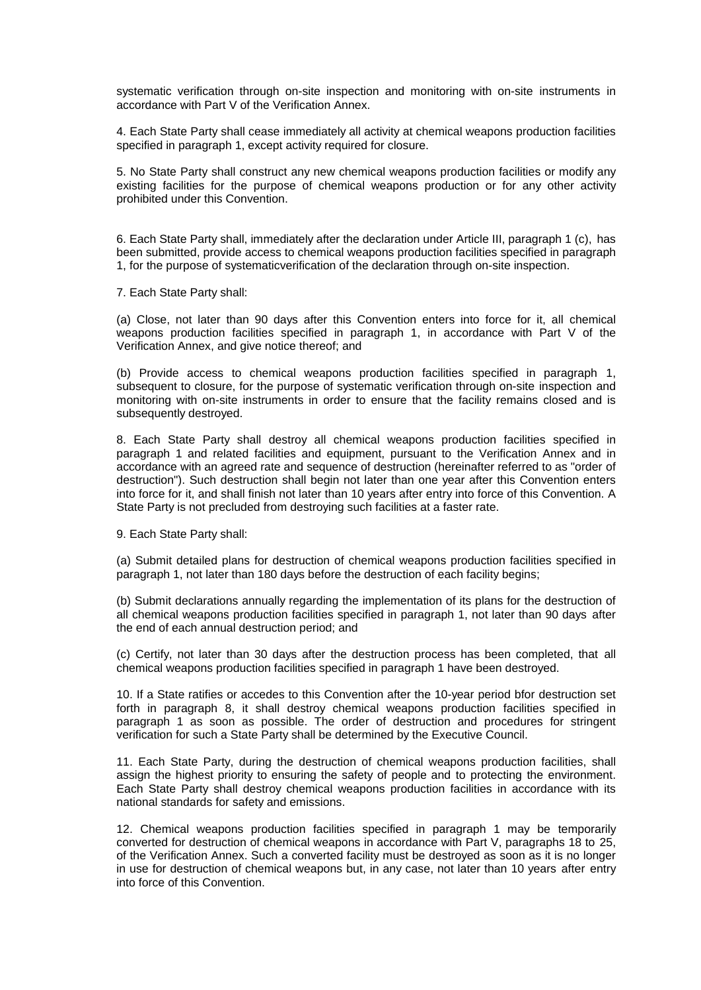systematic verification through on-site inspection and monitoring with on-site instruments in accordance with Part V of the Verification Annex.

4. Each State Party shall cease immediately all activity at chemical weapons production facilities specified in paragraph 1, except activity required for closure.

5. No State Party shall construct any new chemical weapons production facilities or modify any existing facilities for the purpose of chemical weapons production or for any other activity prohibited under this Convention.

6. Each State Party shall, immediately after the declaration under Article III, paragraph 1 (c), has been submitted, provide access to chemical weapons production facilities specified in paragraph 1, for the purpose of systematicverification of the declaration through on-site inspection.

7. Each State Party shall:

(a) Close, not later than 90 days after this Convention enters into force for it, all chemical weapons production facilities specified in paragraph 1, in accordance with Part V of the Verification Annex, and give notice thereof; and

(b) Provide access to chemical weapons production facilities specified in paragraph 1, subsequent to closure, for the purpose of systematic verification through on-site inspection and monitoring with on-site instruments in order to ensure that the facility remains closed and is subsequently destroyed.

8. Each State Party shall destroy all chemical weapons production facilities specified in paragraph 1 and related facilities and equipment, pursuant to the Verification Annex and in accordance with an agreed rate and sequence of destruction (hereinafter referred to as "order of destruction"). Such destruction shall begin not later than one year after this Convention enters into force for it, and shall finish not later than 10 years after entry into force of this Convention. A State Party is not precluded from destroying such facilities at a faster rate.

9. Each State Party shall:

(a) Submit detailed plans for destruction of chemical weapons production facilities specified in paragraph 1, not later than 180 days before the destruction of each facility begins;

(b) Submit declarations annually regarding the implementation of its plans for the destruction of all chemical weapons production facilities specified in paragraph 1, not later than 90 days after the end of each annual destruction period; and

(c) Certify, not later than 30 days after the destruction process has been completed, that all chemical weapons production facilities specified in paragraph 1 have been destroyed.

10. If a State ratifies or accedes to this Convention after the 10-year period bfor destruction set forth in paragraph 8, it shall destroy chemical weapons production facilities specified in paragraph 1 as soon as possible. The order of destruction and procedures for stringent verification for such a State Party shall be determined by the Executive Council.

11. Each State Party, during the destruction of chemical weapons production facilities, shall assign the highest priority to ensuring the safety of people and to protecting the environment. Each State Party shall destroy chemical weapons production facilities in accordance with its national standards for safety and emissions.

12. Chemical weapons production facilities specified in paragraph 1 may be temporarily converted for destruction of chemical weapons in accordance with Part V, paragraphs 18 to 25, of the Verification Annex. Such a converted facility must be destroyed as soon as it is no longer in use for destruction of chemical weapons but, in any case, not later than 10 years after entry into force of this Convention.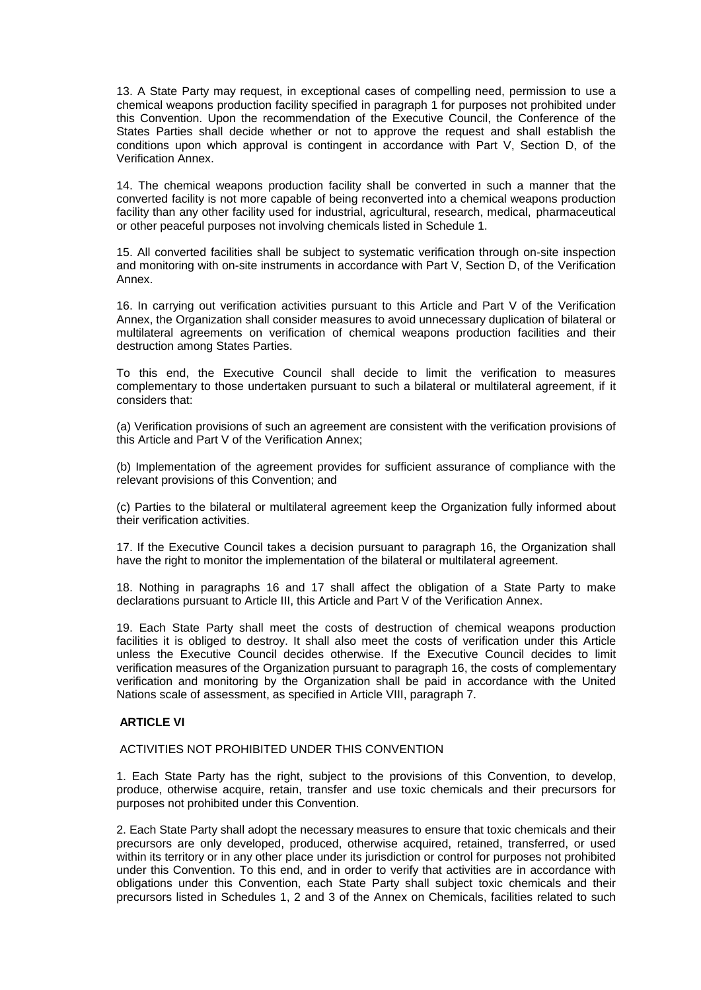13. A State Party may request, in exceptional cases of compelling need, permission to use a chemical weapons production facility specified in paragraph 1 for purposes not prohibited under this Convention. Upon the recommendation of the Executive Council, the Conference of the States Parties shall decide whether or not to approve the request and shall establish the conditions upon which approval is contingent in accordance with Part V, Section D, of the Verification Annex.

14. The chemical weapons production facility shall be converted in such a manner that the converted facility is not more capable of being reconverted into a chemical weapons production facility than any other facility used for industrial, agricultural, research, medical, pharmaceutical or other peaceful purposes not involving chemicals listed in Schedule 1.

15. All converted facilities shall be subject to systematic verification through on-site inspection and monitoring with on-site instruments in accordance with Part V, Section D, of the Verification Annex.

16. In carrying out verification activities pursuant to this Article and Part V of the Verification Annex, the Organization shall consider measures to avoid unnecessary duplication of bilateral or multilateral agreements on verification of chemical weapons production facilities and their destruction among States Parties.

To this end, the Executive Council shall decide to limit the verification to measures complementary to those undertaken pursuant to such a bilateral or multilateral agreement, if it considers that:

(a) Verification provisions of such an agreement are consistent with the verification provisions of this Article and Part V of the Verification Annex;

(b) Implementation of the agreement provides for sufficient assurance of compliance with the relevant provisions of this Convention; and

(c) Parties to the bilateral or multilateral agreement keep the Organization fully informed about their verification activities.

17. If the Executive Council takes a decision pursuant to paragraph 16, the Organization shall have the right to monitor the implementation of the bilateral or multilateral agreement.

18. Nothing in paragraphs 16 and 17 shall affect the obligation of a State Party to make declarations pursuant to Article III, this Article and Part V of the Verification Annex.

19. Each State Party shall meet the costs of destruction of chemical weapons production facilities it is obliged to destroy. It shall also meet the costs of verification under this Article unless the Executive Council decides otherwise. If the Executive Council decides to limit verification measures of the Organization pursuant to paragraph 16, the costs of complementary verification and monitoring by the Organization shall be paid in accordance with the United Nations scale of assessment, as specified in Article VIII, paragraph 7.

## **ARTICLE VI**

### ACTIVITIES NOT PROHIBITED UNDER THIS CONVENTION

1. Each State Party has the right, subject to the provisions of this Convention, to develop, produce, otherwise acquire, retain, transfer and use toxic chemicals and their precursors for purposes not prohibited under this Convention.

2. Each State Party shall adopt the necessary measures to ensure that toxic chemicals and their precursors are only developed, produced, otherwise acquired, retained, transferred, or used within its territory or in any other place under its jurisdiction or control for purposes not prohibited under this Convention. To this end, and in order to verify that activities are in accordance with obligations under this Convention, each State Party shall subject toxic chemicals and their precursors listed in Schedules 1, 2 and 3 of the Annex on Chemicals, facilities related to such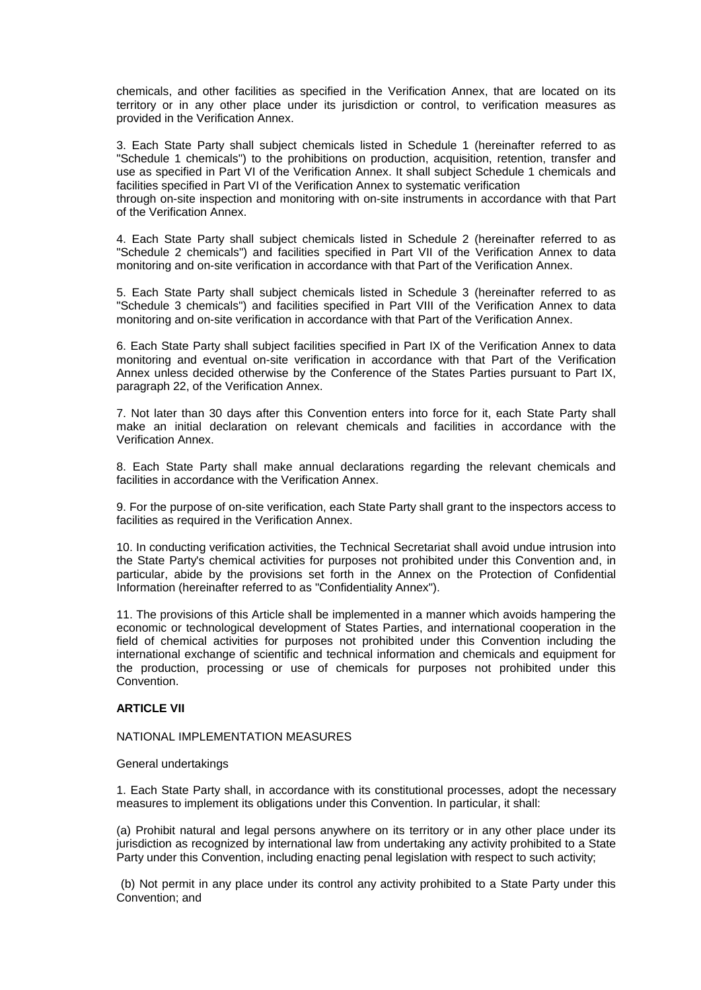chemicals, and other facilities as specified in the Verification Annex, that are located on its territory or in any other place under its jurisdiction or control, to verification measures as provided in the Verification Annex.

3. Each State Party shall subject chemicals listed in Schedule 1 (hereinafter referred to as "Schedule 1 chemicals") to the prohibitions on production, acquisition, retention, transfer and use as specified in Part VI of the Verification Annex. It shall subject Schedule 1 chemicals and facilities specified in Part VI of the Verification Annex to systematic verification

through on-site inspection and monitoring with on-site instruments in accordance with that Part of the Verification Annex.

4. Each State Party shall subject chemicals listed in Schedule 2 (hereinafter referred to as "Schedule 2 chemicals") and facilities specified in Part VII of the Verification Annex to data monitoring and on-site verification in accordance with that Part of the Verification Annex.

5. Each State Party shall subject chemicals listed in Schedule 3 (hereinafter referred to as "Schedule 3 chemicals") and facilities specified in Part VIII of the Verification Annex to data monitoring and on-site verification in accordance with that Part of the Verification Annex.

6. Each State Party shall subject facilities specified in Part IX of the Verification Annex to data monitoring and eventual on-site verification in accordance with that Part of the Verification Annex unless decided otherwise by the Conference of the States Parties pursuant to Part IX, paragraph 22, of the Verification Annex.

7. Not later than 30 days after this Convention enters into force for it, each State Party shall make an initial declaration on relevant chemicals and facilities in accordance with the Verification Annex.

8. Each State Party shall make annual declarations regarding the relevant chemicals and facilities in accordance with the Verification Annex.

9. For the purpose of on-site verification, each State Party shall grant to the inspectors access to facilities as required in the Verification Annex.

10. In conducting verification activities, the Technical Secretariat shall avoid undue intrusion into the State Party's chemical activities for purposes not prohibited under this Convention and, in particular, abide by the provisions set forth in the Annex on the Protection of Confidential Information (hereinafter referred to as "Confidentiality Annex").

11. The provisions of this Article shall be implemented in a manner which avoids hampering the economic or technological development of States Parties, and international cooperation in the field of chemical activities for purposes not prohibited under this Convention including the international exchange of scientific and technical information and chemicals and equipment for the production, processing or use of chemicals for purposes not prohibited under this Convention.

## **ARTICLE VII**

## NATIONAL IMPLEMENTATION MEASURES

### General undertakings

1. Each State Party shall, in accordance with its constitutional processes, adopt the necessary measures to implement its obligations under this Convention. In particular, it shall:

(a) Prohibit natural and legal persons anywhere on its territory or in any other place under its jurisdiction as recognized by international law from undertaking any activity prohibited to a State Party under this Convention, including enacting penal legislation with respect to such activity;

(b) Not permit in any place under its control any activity prohibited to a State Party under this Convention; and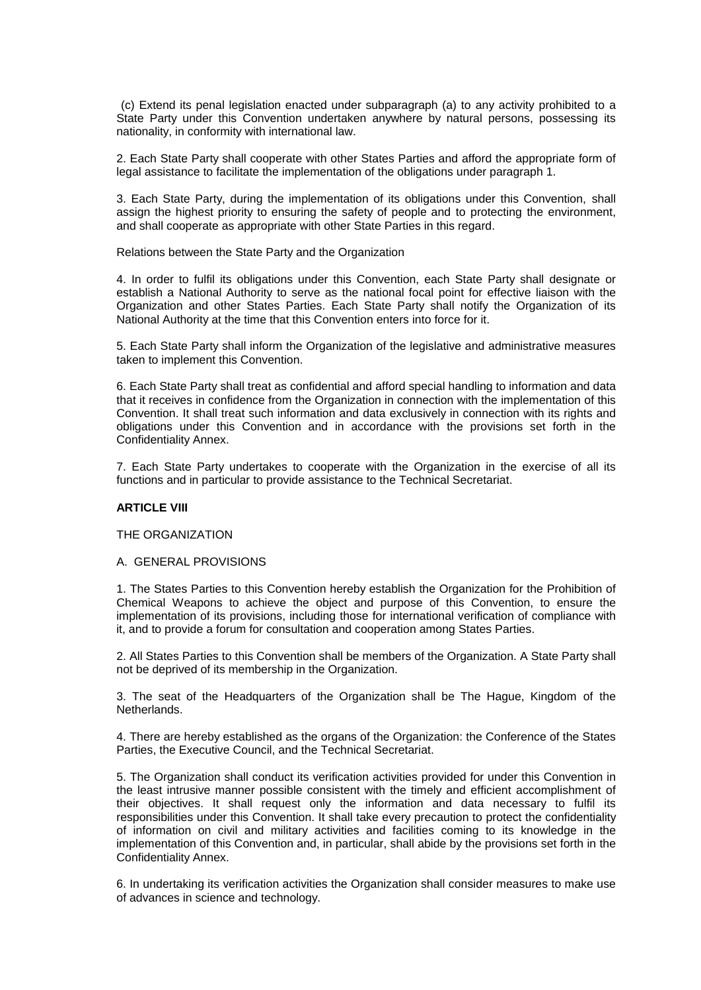(c) Extend its penal legislation enacted under subparagraph (a) to any activity prohibited to a State Party under this Convention undertaken anywhere by natural persons, possessing its nationality, in conformity with international law.

2. Each State Party shall cooperate with other States Parties and afford the appropriate form of legal assistance to facilitate the implementation of the obligations under paragraph 1.

3. Each State Party, during the implementation of its obligations under this Convention, shall assign the highest priority to ensuring the safety of people and to protecting the environment, and shall cooperate as appropriate with other State Parties in this regard.

Relations between the State Party and the Organization

4. In order to fulfil its obligations under this Convention, each State Party shall designate or establish a National Authority to serve as the national focal point for effective liaison with the Organization and other States Parties. Each State Party shall notify the Organization of its National Authority at the time that this Convention enters into force for it.

5. Each State Party shall inform the Organization of the legislative and administrative measures taken to implement this Convention.

6. Each State Party shall treat as confidential and afford special handling to information and data that it receives in confidence from the Organization in connection with the implementation of this Convention. It shall treat such information and data exclusively in connection with its rights and obligations under this Convention and in accordance with the provisions set forth in the Confidentiality Annex.

7. Each State Party undertakes to cooperate with the Organization in the exercise of all its functions and in particular to provide assistance to the Technical Secretariat.

## **ARTICLE VIII**

THE ORGANIZATION

## A. GENERAL PROVISIONS

1. The States Parties to this Convention hereby establish the Organization for the Prohibition of Chemical Weapons to achieve the object and purpose of this Convention, to ensure the implementation of its provisions, including those for international verification of compliance with it, and to provide a forum for consultation and cooperation among States Parties.

2. All States Parties to this Convention shall be members of the Organization. A State Party shall not be deprived of its membership in the Organization.

3. The seat of the Headquarters of the Organization shall be The Hague, Kingdom of the Netherlands.

4. There are hereby established as the organs of the Organization: the Conference of the States Parties, the Executive Council, and the Technical Secretariat.

5. The Organization shall conduct its verification activities provided for under this Convention in the least intrusive manner possible consistent with the timely and efficient accomplishment of their objectives. It shall request only the information and data necessary to fulfil its responsibilities under this Convention. It shall take every precaution to protect the confidentiality of information on civil and military activities and facilities coming to its knowledge in the implementation of this Convention and, in particular, shall abide by the provisions set forth in the Confidentiality Annex.

6. In undertaking its verification activities the Organization shall consider measures to make use of advances in science and technology.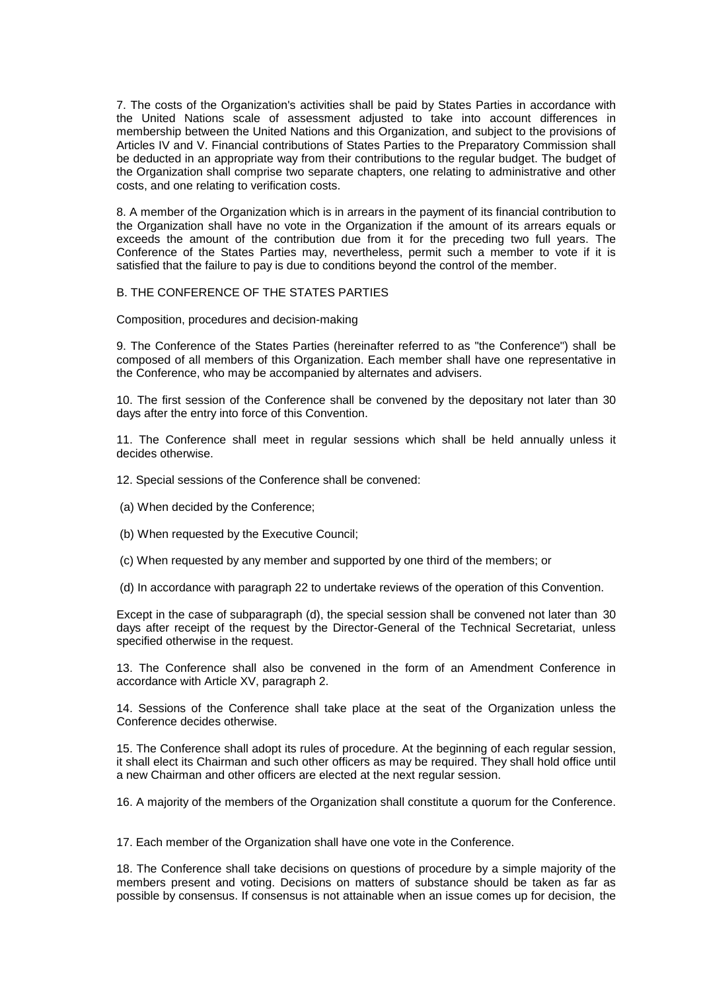7. The costs of the Organization's activities shall be paid by States Parties in accordance with the United Nations scale of assessment adjusted to take into account differences in membership between the United Nations and this Organization, and subject to the provisions of Articles IV and V. Financial contributions of States Parties to the Preparatory Commission shall be deducted in an appropriate way from their contributions to the regular budget. The budget of the Organization shall comprise two separate chapters, one relating to administrative and other costs, and one relating to verification costs.

8. A member of the Organization which is in arrears in the payment of its financial contribution to the Organization shall have no vote in the Organization if the amount of its arrears equals or exceeds the amount of the contribution due from it for the preceding two full years. The Conference of the States Parties may, nevertheless, permit such a member to vote if it is satisfied that the failure to pay is due to conditions beyond the control of the member.

## B. THE CONFERENCE OF THE STATES PARTIES

Composition, procedures and decision-making

9. The Conference of the States Parties (hereinafter referred to as "the Conference") shall be composed of all members of this Organization. Each member shall have one representative in the Conference, who may be accompanied by alternates and advisers.

10. The first session of the Conference shall be convened by the depositary not later than 30 days after the entry into force of this Convention.

11. The Conference shall meet in regular sessions which shall be held annually unless it decides otherwise.

- 12. Special sessions of the Conference shall be convened:
- (a) When decided by the Conference;
- (b) When requested by the Executive Council;
- (c) When requested by any member and supported by one third of the members; or
- (d) In accordance with paragraph 22 to undertake reviews of the operation of this Convention.

Except in the case of subparagraph (d), the special session shall be convened not later than 30 days after receipt of the request by the Director-General of the Technical Secretariat, unless specified otherwise in the request.

13. The Conference shall also be convened in the form of an Amendment Conference in accordance with Article XV, paragraph 2.

14. Sessions of the Conference shall take place at the seat of the Organization unless the Conference decides otherwise.

15. The Conference shall adopt its rules of procedure. At the beginning of each regular session, it shall elect its Chairman and such other officers as may be required. They shall hold office until a new Chairman and other officers are elected at the next regular session.

16. A majority of the members of the Organization shall constitute a quorum for the Conference.

17. Each member of the Organization shall have one vote in the Conference.

18. The Conference shall take decisions on questions of procedure by a simple majority of the members present and voting. Decisions on matters of substance should be taken as far as possible by consensus. If consensus is not attainable when an issue comes up for decision, the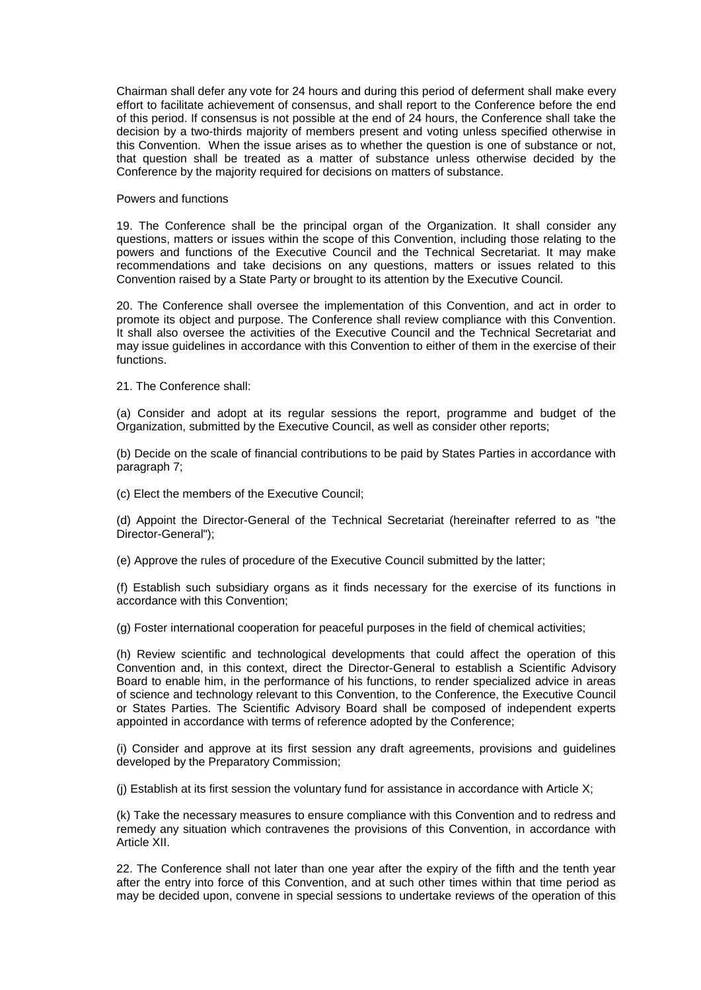Chairman shall defer any vote for 24 hours and during this period of deferment shall make every effort to facilitate achievement of consensus, and shall report to the Conference before the end of this period. If consensus is not possible at the end of 24 hours, the Conference shall take the decision by a two-thirds majority of members present and voting unless specified otherwise in this Convention. When the issue arises as to whether the question is one of substance or not, that question shall be treated as a matter of substance unless otherwise decided by the Conference by the majority required for decisions on matters of substance.

## Powers and functions

19. The Conference shall be the principal organ of the Organization. It shall consider any questions, matters or issues within the scope of this Convention, including those relating to the powers and functions of the Executive Council and the Technical Secretariat. It may make recommendations and take decisions on any questions, matters or issues related to this Convention raised by a State Party or brought to its attention by the Executive Council.

20. The Conference shall oversee the implementation of this Convention, and act in order to promote its object and purpose. The Conference shall review compliance with this Convention. It shall also oversee the activities of the Executive Council and the Technical Secretariat and may issue guidelines in accordance with this Convention to either of them in the exercise of their functions.

21. The Conference shall:

(a) Consider and adopt at its regular sessions the report, programme and budget of the Organization, submitted by the Executive Council, as well as consider other reports;

(b) Decide on the scale of financial contributions to be paid by States Parties in accordance with paragraph 7;

(c) Elect the members of the Executive Council;

(d) Appoint the Director-General of the Technical Secretariat (hereinafter referred to as "the Director-General");

(e) Approve the rules of procedure of the Executive Council submitted by the latter;

(f) Establish such subsidiary organs as it finds necessary for the exercise of its functions in accordance with this Convention;

(g) Foster international cooperation for peaceful purposes in the field of chemical activities;

(h) Review scientific and technological developments that could affect the operation of this Convention and, in this context, direct the Director-General to establish a Scientific Advisory Board to enable him, in the performance of his functions, to render specialized advice in areas of science and technology relevant to this Convention, to the Conference, the Executive Council or States Parties. The Scientific Advisory Board shall be composed of independent experts appointed in accordance with terms of reference adopted by the Conference;

(i) Consider and approve at its first session any draft agreements, provisions and guidelines developed by the Preparatory Commission;

(j) Establish at its first session the voluntary fund for assistance in accordance with Article X;

(k) Take the necessary measures to ensure compliance with this Convention and to redress and remedy any situation which contravenes the provisions of this Convention, in accordance with Article XII.

22. The Conference shall not later than one year after the expiry of the fifth and the tenth year after the entry into force of this Convention, and at such other times within that time period as may be decided upon, convene in special sessions to undertake reviews of the operation of this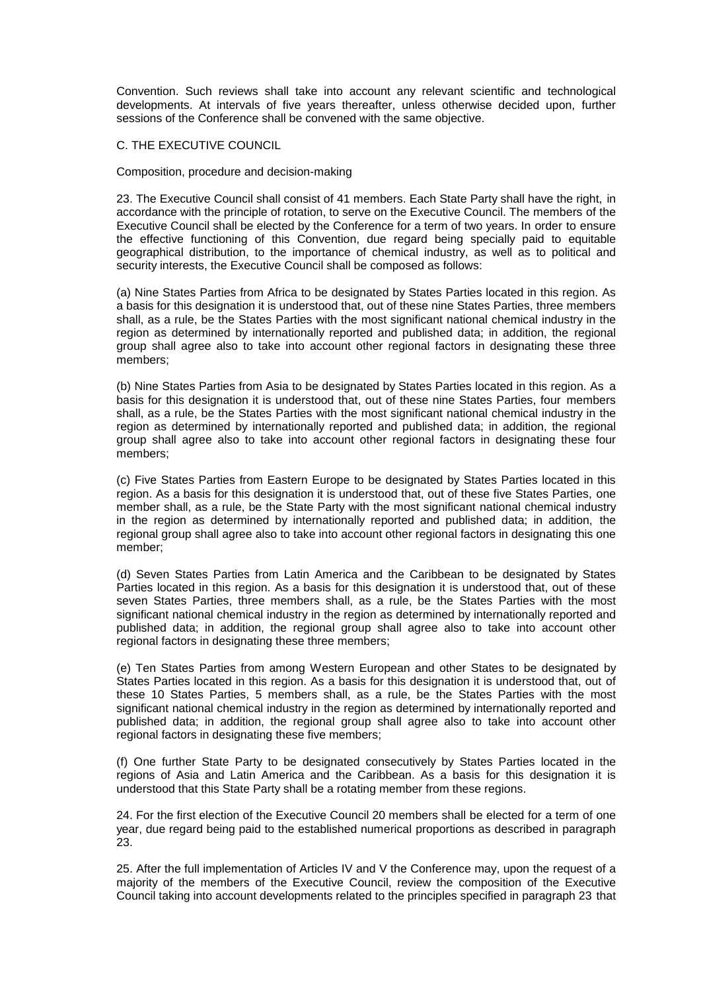Convention. Such reviews shall take into account any relevant scientific and technological developments. At intervals of five years thereafter, unless otherwise decided upon, further sessions of the Conference shall be convened with the same objective.

## C. THE EXECUTIVE COUNCIL

## Composition, procedure and decision-making

23. The Executive Council shall consist of 41 members. Each State Party shall have the right, in accordance with the principle of rotation, to serve on the Executive Council. The members of the Executive Council shall be elected by the Conference for a term of two years. In order to ensure the effective functioning of this Convention, due regard being specially paid to equitable geographical distribution, to the importance of chemical industry, as well as to political and security interests, the Executive Council shall be composed as follows:

(a) Nine States Parties from Africa to be designated by States Parties located in this region. As a basis for this designation it is understood that, out of these nine States Parties, three members shall, as a rule, be the States Parties with the most significant national chemical industry in the region as determined by internationally reported and published data; in addition, the regional group shall agree also to take into account other regional factors in designating these three members;

(b) Nine States Parties from Asia to be designated by States Parties located in this region. As a basis for this designation it is understood that, out of these nine States Parties, four members shall, as a rule, be the States Parties with the most significant national chemical industry in the region as determined by internationally reported and published data; in addition, the regional group shall agree also to take into account other regional factors in designating these four members;

(c) Five States Parties from Eastern Europe to be designated by States Parties located in this region. As a basis for this designation it is understood that, out of these five States Parties, one member shall, as a rule, be the State Party with the most significant national chemical industry in the region as determined by internationally reported and published data; in addition, the regional group shall agree also to take into account other regional factors in designating this one member;

(d) Seven States Parties from Latin America and the Caribbean to be designated by States Parties located in this region. As a basis for this designation it is understood that, out of these seven States Parties, three members shall, as a rule, be the States Parties with the most significant national chemical industry in the region as determined by internationally reported and published data; in addition, the regional group shall agree also to take into account other regional factors in designating these three members;

(e) Ten States Parties from among Western European and other States to be designated by States Parties located in this region. As a basis for this designation it is understood that, out of these 10 States Parties, 5 members shall, as a rule, be the States Parties with the most significant national chemical industry in the region as determined by internationally reported and published data; in addition, the regional group shall agree also to take into account other regional factors in designating these five members;

(f) One further State Party to be designated consecutively by States Parties located in the regions of Asia and Latin America and the Caribbean. As a basis for this designation it is understood that this State Party shall be a rotating member from these regions.

24. For the first election of the Executive Council 20 members shall be elected for a term of one year, due regard being paid to the established numerical proportions as described in paragraph 23.

25. After the full implementation of Articles IV and V the Conference may, upon the request of a majority of the members of the Executive Council, review the composition of the Executive Council taking into account developments related to the principles specified in paragraph 23 that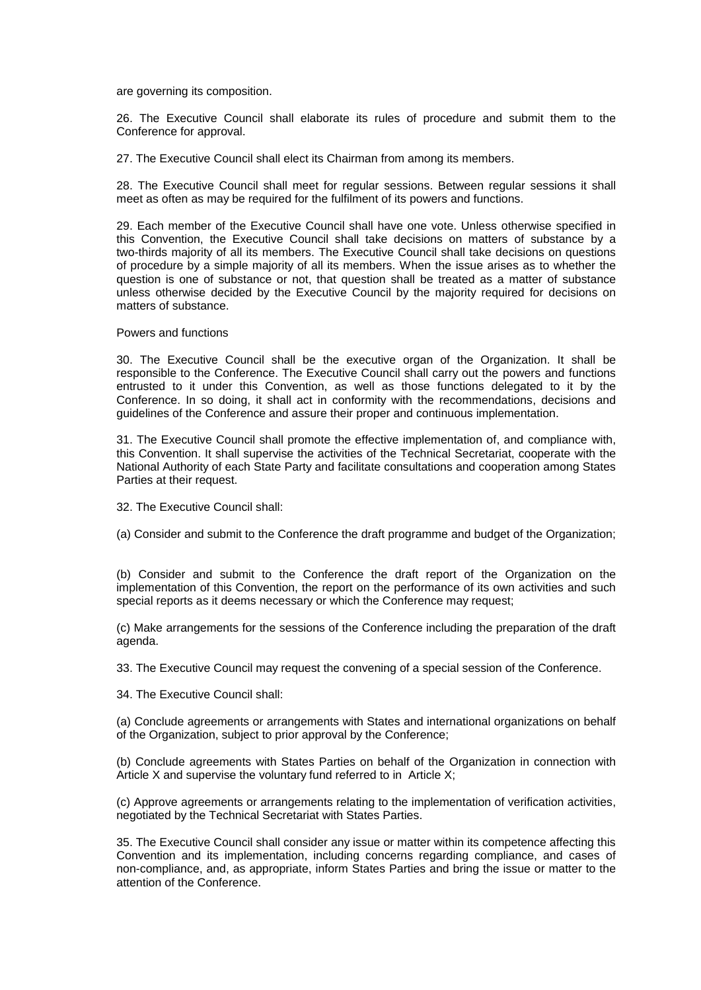are governing its composition.

26. The Executive Council shall elaborate its rules of procedure and submit them to the Conference for approval.

27. The Executive Council shall elect its Chairman from among its members.

28. The Executive Council shall meet for regular sessions. Between regular sessions it shall meet as often as may be required for the fulfilment of its powers and functions.

29. Each member of the Executive Council shall have one vote. Unless otherwise specified in this Convention, the Executive Council shall take decisions on matters of substance by a two-thirds majority of all its members. The Executive Council shall take decisions on questions of procedure by a simple majority of all its members. When the issue arises as to whether the question is one of substance or not, that question shall be treated as a matter of substance unless otherwise decided by the Executive Council by the majority required for decisions on matters of substance.

Powers and functions

30. The Executive Council shall be the executive organ of the Organization. It shall be responsible to the Conference. The Executive Council shall carry out the powers and functions entrusted to it under this Convention, as well as those functions delegated to it by the Conference. In so doing, it shall act in conformity with the recommendations, decisions and guidelines of the Conference and assure their proper and continuous implementation.

31. The Executive Council shall promote the effective implementation of, and compliance with, this Convention. It shall supervise the activities of the Technical Secretariat, cooperate with the National Authority of each State Party and facilitate consultations and cooperation among States Parties at their request.

32. The Executive Council shall:

(a) Consider and submit to the Conference the draft programme and budget of the Organization;

(b) Consider and submit to the Conference the draft report of the Organization on the implementation of this Convention, the report on the performance of its own activities and such special reports as it deems necessary or which the Conference may request;

(c) Make arrangements for the sessions of the Conference including the preparation of the draft agenda.

33. The Executive Council may request the convening of a special session of the Conference.

34. The Executive Council shall:

(a) Conclude agreements or arrangements with States and international organizations on behalf of the Organization, subject to prior approval by the Conference;

(b) Conclude agreements with States Parties on behalf of the Organization in connection with Article X and supervise the voluntary fund referred to in Article X;

(c) Approve agreements or arrangements relating to the implementation of verification activities, negotiated by the Technical Secretariat with States Parties.

35. The Executive Council shall consider any issue or matter within its competence affecting this Convention and its implementation, including concerns regarding compliance, and cases of non-compliance, and, as appropriate, inform States Parties and bring the issue or matter to the attention of the Conference.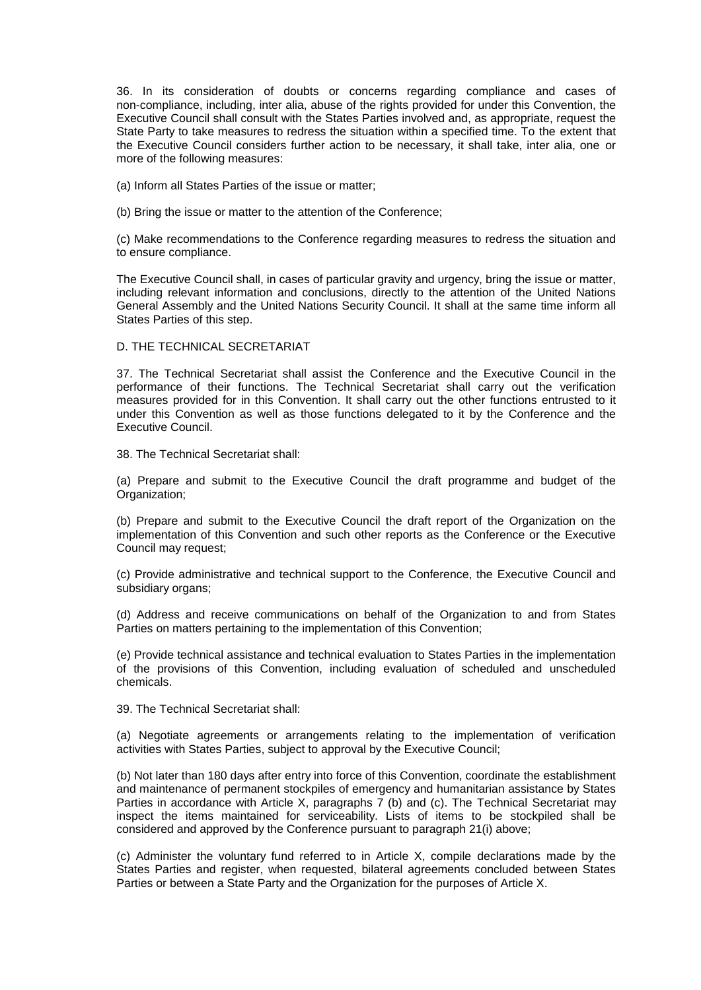36. In its consideration of doubts or concerns regarding compliance and cases of non-compliance, including, inter alia, abuse of the rights provided for under this Convention, the Executive Council shall consult with the States Parties involved and, as appropriate, request the State Party to take measures to redress the situation within a specified time. To the extent that the Executive Council considers further action to be necessary, it shall take, inter alia, one or more of the following measures:

(a) Inform all States Parties of the issue or matter;

(b) Bring the issue or matter to the attention of the Conference;

(c) Make recommendations to the Conference regarding measures to redress the situation and to ensure compliance.

The Executive Council shall, in cases of particular gravity and urgency, bring the issue or matter, including relevant information and conclusions, directly to the attention of the United Nations General Assembly and the United Nations Security Council. It shall at the same time inform all States Parties of this step.

## D. THE TECHNICAL SECRETARIAT

37. The Technical Secretariat shall assist the Conference and the Executive Council in the performance of their functions. The Technical Secretariat shall carry out the verification measures provided for in this Convention. It shall carry out the other functions entrusted to it under this Convention as well as those functions delegated to it by the Conference and the Executive Council.

38. The Technical Secretariat shall:

(a) Prepare and submit to the Executive Council the draft programme and budget of the Organization;

(b) Prepare and submit to the Executive Council the draft report of the Organization on the implementation of this Convention and such other reports as the Conference or the Executive Council may request;

(c) Provide administrative and technical support to the Conference, the Executive Council and subsidiary organs;

(d) Address and receive communications on behalf of the Organization to and from States Parties on matters pertaining to the implementation of this Convention;

(e) Provide technical assistance and technical evaluation to States Parties in the implementation of the provisions of this Convention, including evaluation of scheduled and unscheduled chemicals.

39. The Technical Secretariat shall:

(a) Negotiate agreements or arrangements relating to the implementation of verification activities with States Parties, subject to approval by the Executive Council;

(b) Not later than 180 days after entry into force of this Convention, coordinate the establishment and maintenance of permanent stockpiles of emergency and humanitarian assistance by States Parties in accordance with Article X, paragraphs 7 (b) and (c). The Technical Secretariat may inspect the items maintained for serviceability. Lists of items to be stockpiled shall be considered and approved by the Conference pursuant to paragraph 21(i) above;

(c) Administer the voluntary fund referred to in Article X, compile declarations made by the States Parties and register, when requested, bilateral agreements concluded between States Parties or between a State Party and the Organization for the purposes of Article X.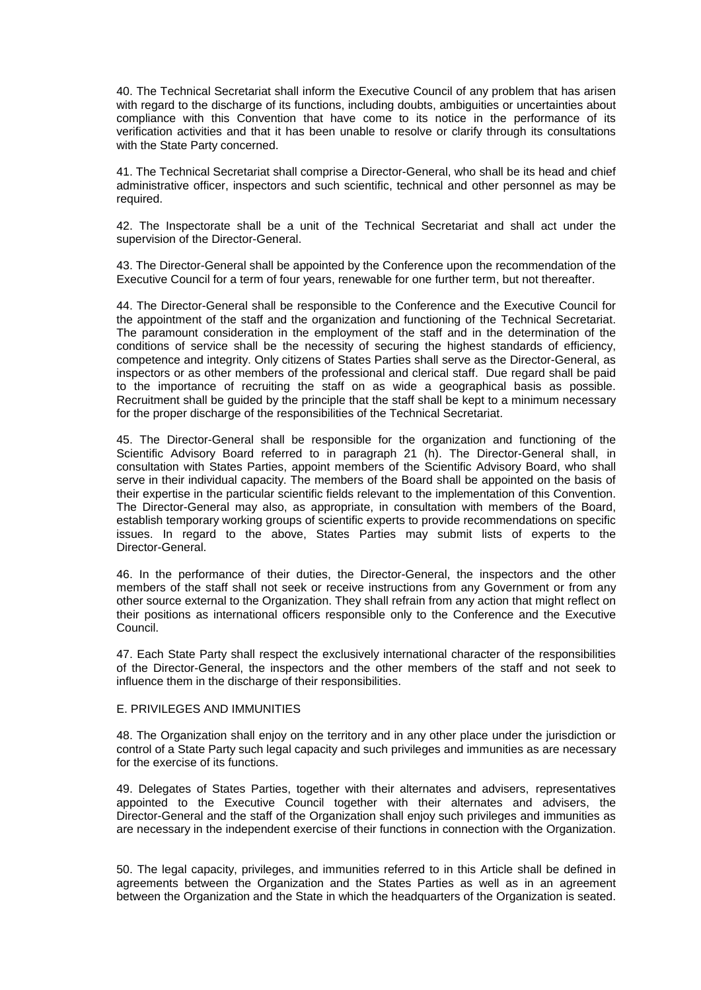40. The Technical Secretariat shall inform the Executive Council of any problem that has arisen with regard to the discharge of its functions, including doubts, ambiguities or uncertainties about compliance with this Convention that have come to its notice in the performance of its verification activities and that it has been unable to resolve or clarify through its consultations with the State Party concerned.

41. The Technical Secretariat shall comprise a Director-General, who shall be its head and chief administrative officer, inspectors and such scientific, technical and other personnel as may be required.

42. The Inspectorate shall be a unit of the Technical Secretariat and shall act under the supervision of the Director-General.

43. The Director-General shall be appointed by the Conference upon the recommendation of the Executive Council for a term of four years, renewable for one further term, but not thereafter.

44. The Director-General shall be responsible to the Conference and the Executive Council for the appointment of the staff and the organization and functioning of the Technical Secretariat. The paramount consideration in the employment of the staff and in the determination of the conditions of service shall be the necessity of securing the highest standards of efficiency, competence and integrity. Only citizens of States Parties shall serve as the Director-General, as inspectors or as other members of the professional and clerical staff. Due regard shall be paid to the importance of recruiting the staff on as wide a geographical basis as possible. Recruitment shall be guided by the principle that the staff shall be kept to a minimum necessary for the proper discharge of the responsibilities of the Technical Secretariat.

45. The Director-General shall be responsible for the organization and functioning of the Scientific Advisory Board referred to in paragraph 21 (h). The Director-General shall, in consultation with States Parties, appoint members of the Scientific Advisory Board, who shall serve in their individual capacity. The members of the Board shall be appointed on the basis of their expertise in the particular scientific fields relevant to the implementation of this Convention. The Director-General may also, as appropriate, in consultation with members of the Board, establish temporary working groups of scientific experts to provide recommendations on specific issues. In regard to the above, States Parties may submit lists of experts to the Director-General.

46. In the performance of their duties, the Director-General, the inspectors and the other members of the staff shall not seek or receive instructions from any Government or from any other source external to the Organization. They shall refrain from any action that might reflect on their positions as international officers responsible only to the Conference and the Executive Council.

47. Each State Party shall respect the exclusively international character of the responsibilities of the Director-General, the inspectors and the other members of the staff and not seek to influence them in the discharge of their responsibilities.

### E. PRIVILEGES AND IMMUNITIES

48. The Organization shall enjoy on the territory and in any other place under the jurisdiction or control of a State Party such legal capacity and such privileges and immunities as are necessary for the exercise of its functions.

49. Delegates of States Parties, together with their alternates and advisers, representatives appointed to the Executive Council together with their alternates and advisers, the Director-General and the staff of the Organization shall enjoy such privileges and immunities as are necessary in the independent exercise of their functions in connection with the Organization.

50. The legal capacity, privileges, and immunities referred to in this Article shall be defined in agreements between the Organization and the States Parties as well as in an agreement between the Organization and the State in which the headquarters of the Organization is seated.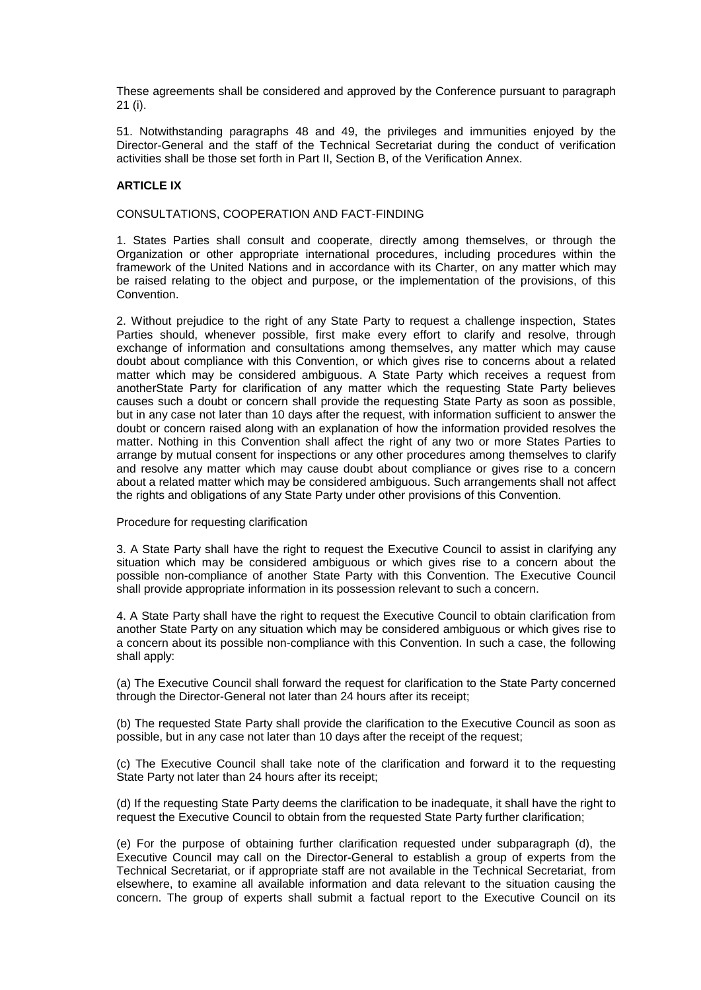These agreements shall be considered and approved by the Conference pursuant to paragraph 21 (i).

51. Notwithstanding paragraphs 48 and 49, the privileges and immunities enjoyed by the Director-General and the staff of the Technical Secretariat during the conduct of verification activities shall be those set forth in Part II, Section B, of the Verification Annex.

## **ARTICLE IX**

CONSULTATIONS, COOPERATION AND FACT-FINDING

1. States Parties shall consult and cooperate, directly among themselves, or through the Organization or other appropriate international procedures, including procedures within the framework of the United Nations and in accordance with its Charter, on any matter which may be raised relating to the object and purpose, or the implementation of the provisions, of this Convention.

2. Without prejudice to the right of any State Party to request a challenge inspection, States Parties should, whenever possible, first make every effort to clarify and resolve, through exchange of information and consultations among themselves, any matter which may cause doubt about compliance with this Convention, or which gives rise to concerns about a related matter which may be considered ambiguous. A State Party which receives a request from anotherState Party for clarification of any matter which the requesting State Party believes causes such a doubt or concern shall provide the requesting State Party as soon as possible, but in any case not later than 10 days after the request, with information sufficient to answer the doubt or concern raised along with an explanation of how the information provided resolves the matter. Nothing in this Convention shall affect the right of any two or more States Parties to arrange by mutual consent for inspections or any other procedures among themselves to clarify and resolve any matter which may cause doubt about compliance or gives rise to a concern about a related matter which may be considered ambiguous. Such arrangements shall not affect the rights and obligations of any State Party under other provisions of this Convention.

Procedure for requesting clarification

3. A State Party shall have the right to request the Executive Council to assist in clarifying any situation which may be considered ambiguous or which gives rise to a concern about the possible non-compliance of another State Party with this Convention. The Executive Council shall provide appropriate information in its possession relevant to such a concern.

4. A State Party shall have the right to request the Executive Council to obtain clarification from another State Party on any situation which may be considered ambiguous or which gives rise to a concern about its possible non-compliance with this Convention. In such a case, the following shall apply:

(a) The Executive Council shall forward the request for clarification to the State Party concerned through the Director-General not later than 24 hours after its receipt;

(b) The requested State Party shall provide the clarification to the Executive Council as soon as possible, but in any case not later than 10 days after the receipt of the request;

(c) The Executive Council shall take note of the clarification and forward it to the requesting State Party not later than 24 hours after its receipt;

(d) If the requesting State Party deems the clarification to be inadequate, it shall have the right to request the Executive Council to obtain from the requested State Party further clarification;

(e) For the purpose of obtaining further clarification requested under subparagraph (d), the Executive Council may call on the Director-General to establish a group of experts from the Technical Secretariat, or if appropriate staff are not available in the Technical Secretariat, from elsewhere, to examine all available information and data relevant to the situation causing the concern. The group of experts shall submit a factual report to the Executive Council on its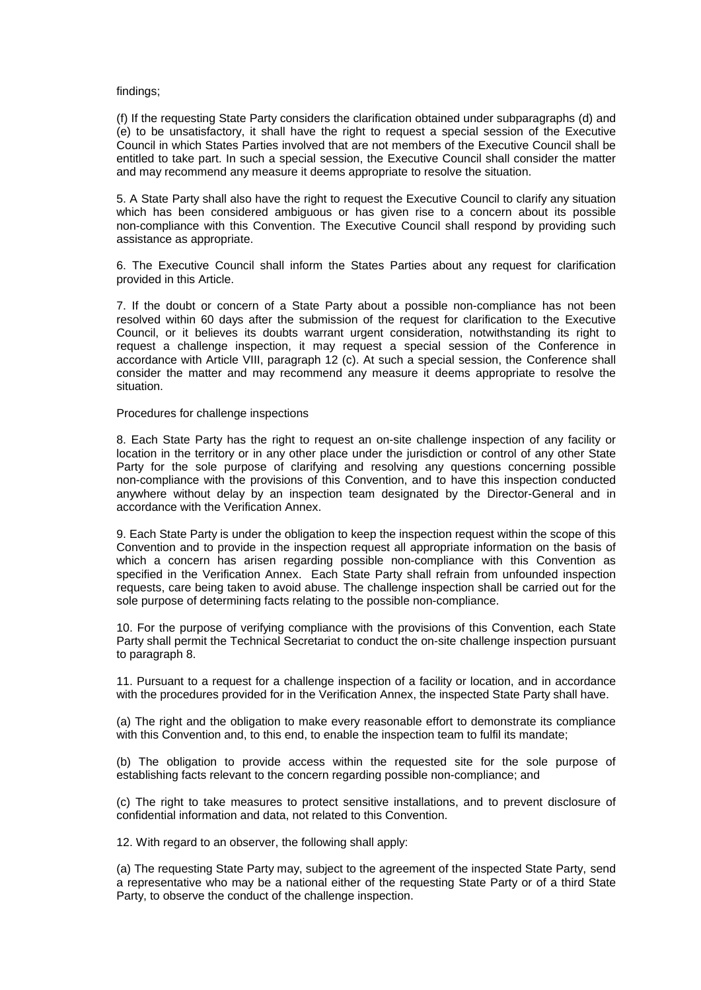### findings;

(f) If the requesting State Party considers the clarification obtained under subparagraphs (d) and (e) to be unsatisfactory, it shall have the right to request a special session of the Executive Council in which States Parties involved that are not members of the Executive Council shall be entitled to take part. In such a special session, the Executive Council shall consider the matter and may recommend any measure it deems appropriate to resolve the situation.

5. A State Party shall also have the right to request the Executive Council to clarify any situation which has been considered ambiguous or has given rise to a concern about its possible non-compliance with this Convention. The Executive Council shall respond by providing such assistance as appropriate.

6. The Executive Council shall inform the States Parties about any request for clarification provided in this Article.

7. If the doubt or concern of a State Party about a possible non-compliance has not been resolved within 60 days after the submission of the request for clarification to the Executive Council, or it believes its doubts warrant urgent consideration, notwithstanding its right to request a challenge inspection, it may request a special session of the Conference in accordance with Article VIII, paragraph 12 (c). At such a special session, the Conference shall consider the matter and may recommend any measure it deems appropriate to resolve the situation.

### Procedures for challenge inspections

8. Each State Party has the right to request an on-site challenge inspection of any facility or location in the territory or in any other place under the jurisdiction or control of any other State Party for the sole purpose of clarifying and resolving any questions concerning possible non-compliance with the provisions of this Convention, and to have this inspection conducted anywhere without delay by an inspection team designated by the Director-General and in accordance with the Verification Annex.

9. Each State Party is under the obligation to keep the inspection request within the scope of this Convention and to provide in the inspection request all appropriate information on the basis of which a concern has arisen regarding possible non-compliance with this Convention as specified in the Verification Annex. Each State Party shall refrain from unfounded inspection requests, care being taken to avoid abuse. The challenge inspection shall be carried out for the sole purpose of determining facts relating to the possible non-compliance.

10. For the purpose of verifying compliance with the provisions of this Convention, each State Party shall permit the Technical Secretariat to conduct the on-site challenge inspection pursuant to paragraph 8.

11. Pursuant to a request for a challenge inspection of a facility or location, and in accordance with the procedures provided for in the Verification Annex, the inspected State Party shall have.

(a) The right and the obligation to make every reasonable effort to demonstrate its compliance with this Convention and, to this end, to enable the inspection team to fulfil its mandate;

(b) The obligation to provide access within the requested site for the sole purpose of establishing facts relevant to the concern regarding possible non-compliance; and

(c) The right to take measures to protect sensitive installations, and to prevent disclosure of confidential information and data, not related to this Convention.

12. With regard to an observer, the following shall apply:

(a) The requesting State Party may, subject to the agreement of the inspected State Party, send a representative who may be a national either of the requesting State Party or of a third State Party, to observe the conduct of the challenge inspection.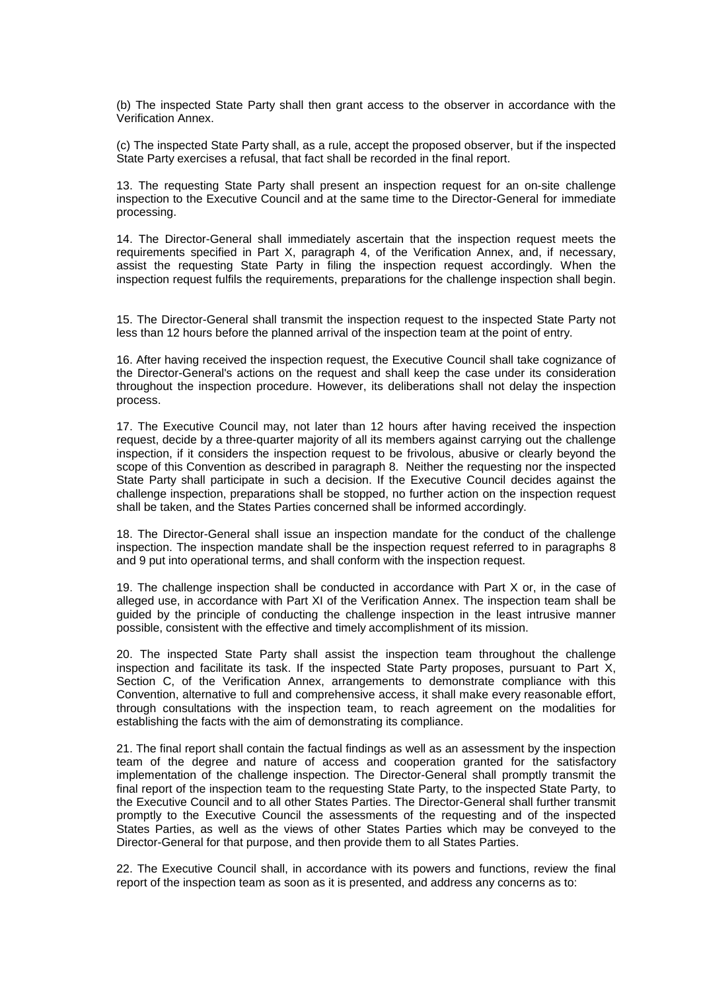(b) The inspected State Party shall then grant access to the observer in accordance with the Verification Annex.

(c) The inspected State Party shall, as a rule, accept the proposed observer, but if the inspected State Party exercises a refusal, that fact shall be recorded in the final report.

13. The requesting State Party shall present an inspection request for an on-site challenge inspection to the Executive Council and at the same time to the Director-General for immediate processing.

14. The Director-General shall immediately ascertain that the inspection request meets the requirements specified in Part X, paragraph 4, of the Verification Annex, and, if necessary, assist the requesting State Party in filing the inspection request accordingly. When the inspection request fulfils the requirements, preparations for the challenge inspection shall begin.

15. The Director-General shall transmit the inspection request to the inspected State Party not less than 12 hours before the planned arrival of the inspection team at the point of entry.

16. After having received the inspection request, the Executive Council shall take cognizance of the Director-General's actions on the request and shall keep the case under its consideration throughout the inspection procedure. However, its deliberations shall not delay the inspection process.

17. The Executive Council may, not later than 12 hours after having received the inspection request, decide by a three-quarter majority of all its members against carrying out the challenge inspection, if it considers the inspection request to be frivolous, abusive or clearly beyond the scope of this Convention as described in paragraph 8. Neither the requesting nor the inspected State Party shall participate in such a decision. If the Executive Council decides against the challenge inspection, preparations shall be stopped, no further action on the inspection request shall be taken, and the States Parties concerned shall be informed accordingly.

18. The Director-General shall issue an inspection mandate for the conduct of the challenge inspection. The inspection mandate shall be the inspection request referred to in paragraphs 8 and 9 put into operational terms, and shall conform with the inspection request.

19. The challenge inspection shall be conducted in accordance with Part X or, in the case of alleged use, in accordance with Part XI of the Verification Annex. The inspection team shall be guided by the principle of conducting the challenge inspection in the least intrusive manner possible, consistent with the effective and timely accomplishment of its mission.

20. The inspected State Party shall assist the inspection team throughout the challenge inspection and facilitate its task. If the inspected State Party proposes, pursuant to Part  $X$ , Section C, of the Verification Annex, arrangements to demonstrate compliance with this Convention, alternative to full and comprehensive access, it shall make every reasonable effort, through consultations with the inspection team, to reach agreement on the modalities for establishing the facts with the aim of demonstrating its compliance.

21. The final report shall contain the factual findings as well as an assessment by the inspection team of the degree and nature of access and cooperation granted for the satisfactory implementation of the challenge inspection. The Director-General shall promptly transmit the final report of the inspection team to the requesting State Party, to the inspected State Party, to the Executive Council and to all other States Parties. The Director-General shall further transmit promptly to the Executive Council the assessments of the requesting and of the inspected States Parties, as well as the views of other States Parties which may be conveyed to the Director-General for that purpose, and then provide them to all States Parties.

22. The Executive Council shall, in accordance with its powers and functions, review the final report of the inspection team as soon as it is presented, and address any concerns as to: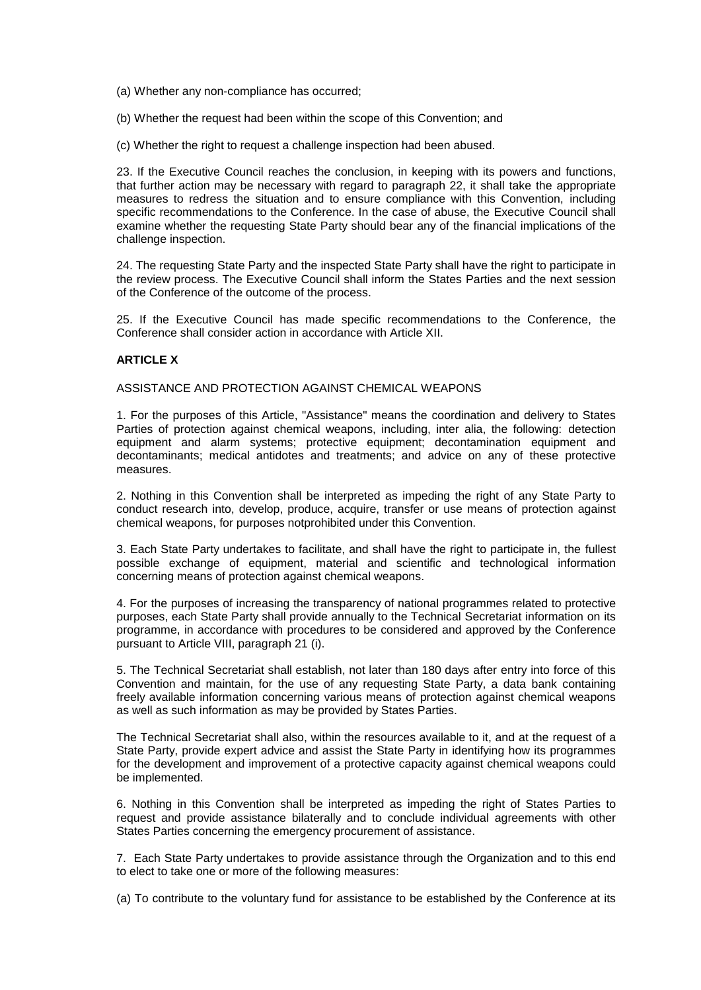- (a) Whether any non-compliance has occurred;
- (b) Whether the request had been within the scope of this Convention; and
- (c) Whether the right to request a challenge inspection had been abused.

23. If the Executive Council reaches the conclusion, in keeping with its powers and functions, that further action may be necessary with regard to paragraph 22, it shall take the appropriate measures to redress the situation and to ensure compliance with this Convention, including specific recommendations to the Conference. In the case of abuse, the Executive Council shall examine whether the requesting State Party should bear any of the financial implications of the challenge inspection.

24. The requesting State Party and the inspected State Party shall have the right to participate in the review process. The Executive Council shall inform the States Parties and the next session of the Conference of the outcome of the process.

25. If the Executive Council has made specific recommendations to the Conference, the Conference shall consider action in accordance with Article XII.

## **ARTICLE X**

## ASSISTANCE AND PROTECTION AGAINST CHEMICAL WEAPONS

1. For the purposes of this Article, "Assistance" means the coordination and delivery to States Parties of protection against chemical weapons, including, inter alia, the following: detection equipment and alarm systems; protective equipment; decontamination equipment and decontaminants; medical antidotes and treatments; and advice on any of these protective measures.

2. Nothing in this Convention shall be interpreted as impeding the right of any State Party to conduct research into, develop, produce, acquire, transfer or use means of protection against chemical weapons, for purposes notprohibited under this Convention.

3. Each State Party undertakes to facilitate, and shall have the right to participate in, the fullest possible exchange of equipment, material and scientific and technological information concerning means of protection against chemical weapons.

4. For the purposes of increasing the transparency of national programmes related to protective purposes, each State Party shall provide annually to the Technical Secretariat information on its programme, in accordance with procedures to be considered and approved by the Conference pursuant to Article VIII, paragraph 21 (i).

5. The Technical Secretariat shall establish, not later than 180 days after entry into force of this Convention and maintain, for the use of any requesting State Party, a data bank containing freely available information concerning various means of protection against chemical weapons as well as such information as may be provided by States Parties.

The Technical Secretariat shall also, within the resources available to it, and at the request of a State Party, provide expert advice and assist the State Party in identifying how its programmes for the development and improvement of a protective capacity against chemical weapons could be implemented.

6. Nothing in this Convention shall be interpreted as impeding the right of States Parties to request and provide assistance bilaterally and to conclude individual agreements with other States Parties concerning the emergency procurement of assistance.

7. Each State Party undertakes to provide assistance through the Organization and to this end to elect to take one or more of the following measures:

(a) To contribute to the voluntary fund for assistance to be established by the Conference at its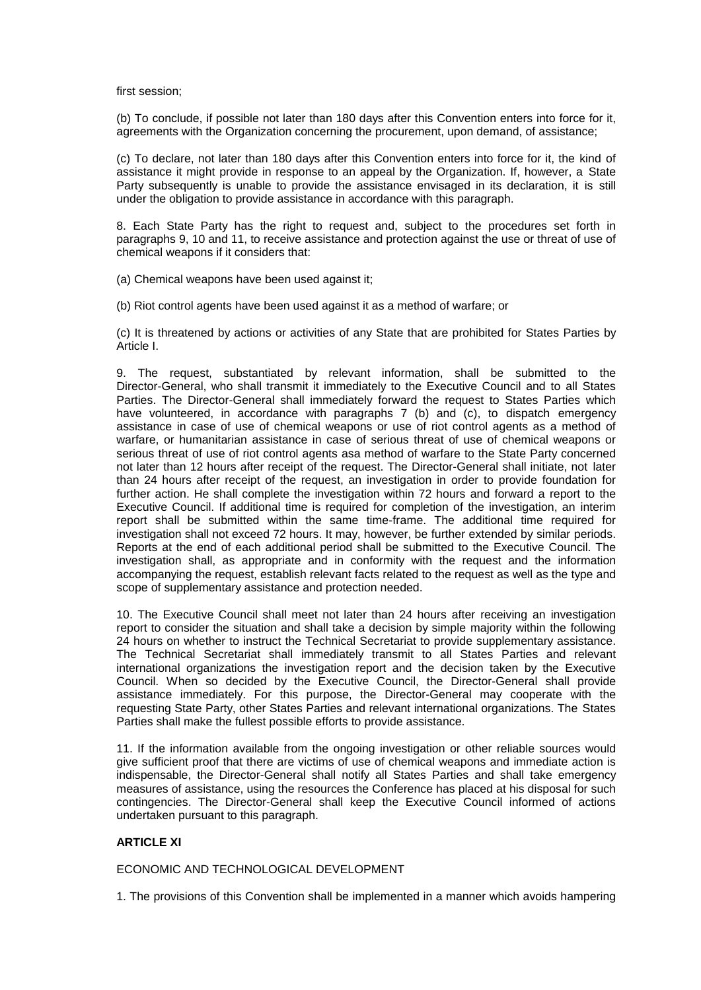first session;

(b) To conclude, if possible not later than 180 days after this Convention enters into force for it, agreements with the Organization concerning the procurement, upon demand, of assistance;

(c) To declare, not later than 180 days after this Convention enters into force for it, the kind of assistance it might provide in response to an appeal by the Organization. If, however, a State Party subsequently is unable to provide the assistance envisaged in its declaration, it is still under the obligation to provide assistance in accordance with this paragraph.

8. Each State Party has the right to request and, subject to the procedures set forth in paragraphs 9, 10 and 11, to receive assistance and protection against the use or threat of use of chemical weapons if it considers that:

(a) Chemical weapons have been used against it;

(b) Riot control agents have been used against it as a method of warfare; or

(c) It is threatened by actions or activities of any State that are prohibited for States Parties by Article I.

9. The request, substantiated by relevant information, shall be submitted to the Director-General, who shall transmit it immediately to the Executive Council and to all States Parties. The Director-General shall immediately forward the request to States Parties which have volunteered, in accordance with paragraphs 7 (b) and (c), to dispatch emergency assistance in case of use of chemical weapons or use of riot control agents as a method of warfare, or humanitarian assistance in case of serious threat of use of chemical weapons or serious threat of use of riot control agents asa method of warfare to the State Party concerned not later than 12 hours after receipt of the request. The Director-General shall initiate, not later than 24 hours after receipt of the request, an investigation in order to provide foundation for further action. He shall complete the investigation within 72 hours and forward a report to the Executive Council. If additional time is required for completion of the investigation, an interim report shall be submitted within the same time-frame. The additional time required for investigation shall not exceed 72 hours. It may, however, be further extended by similar periods. Reports at the end of each additional period shall be submitted to the Executive Council. The investigation shall, as appropriate and in conformity with the request and the information accompanying the request, establish relevant facts related to the request as well as the type and scope of supplementary assistance and protection needed.

10. The Executive Council shall meet not later than 24 hours after receiving an investigation report to consider the situation and shall take a decision by simple majority within the following 24 hours on whether to instruct the Technical Secretariat to provide supplementary assistance. The Technical Secretariat shall immediately transmit to all States Parties and relevant international organizations the investigation report and the decision taken by the Executive Council. When so decided by the Executive Council, the Director-General shall provide assistance immediately. For this purpose, the Director-General may cooperate with the requesting State Party, other States Parties and relevant international organizations. The States Parties shall make the fullest possible efforts to provide assistance.

11. If the information available from the ongoing investigation or other reliable sources would give sufficient proof that there are victims of use of chemical weapons and immediate action is indispensable, the Director-General shall notify all States Parties and shall take emergency measures of assistance, using the resources the Conference has placed at his disposal for such contingencies. The Director-General shall keep the Executive Council informed of actions undertaken pursuant to this paragraph.

## **ARTICLE XI**

ECONOMIC AND TECHNOLOGICAL DEVELOPMENT

1. The provisions of this Convention shall be implemented in a manner which avoids hampering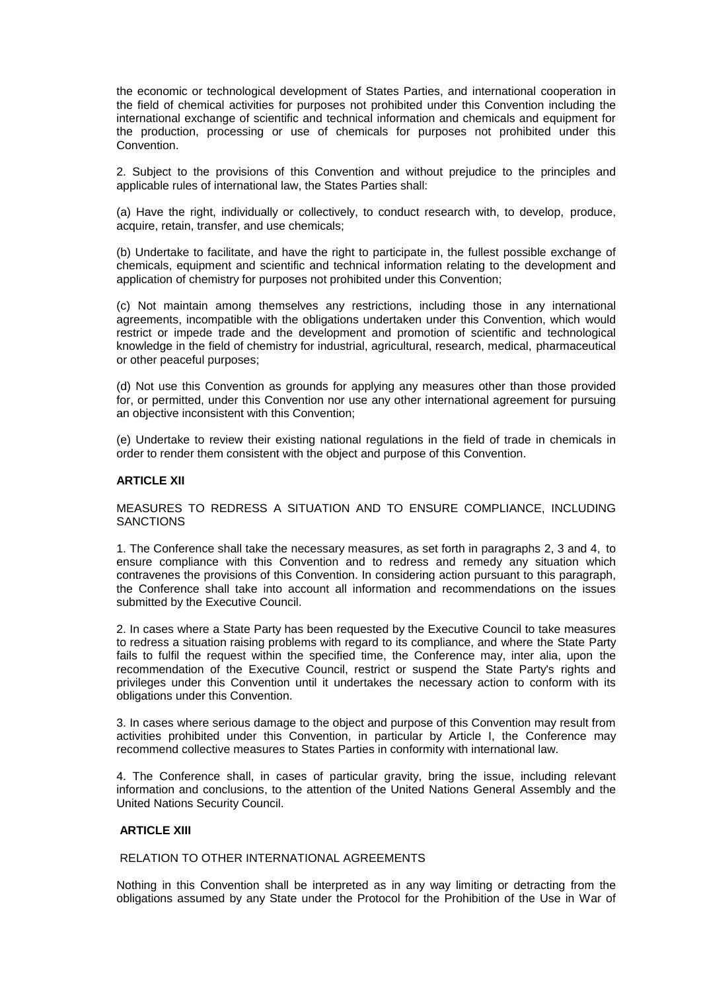the economic or technological development of States Parties, and international cooperation in the field of chemical activities for purposes not prohibited under this Convention including the international exchange of scientific and technical information and chemicals and equipment for the production, processing or use of chemicals for purposes not prohibited under this Convention.

2. Subject to the provisions of this Convention and without prejudice to the principles and applicable rules of international law, the States Parties shall:

(a) Have the right, individually or collectively, to conduct research with, to develop, produce, acquire, retain, transfer, and use chemicals;

(b) Undertake to facilitate, and have the right to participate in, the fullest possible exchange of chemicals, equipment and scientific and technical information relating to the development and application of chemistry for purposes not prohibited under this Convention;

(c) Not maintain among themselves any restrictions, including those in any international agreements, incompatible with the obligations undertaken under this Convention, which would restrict or impede trade and the development and promotion of scientific and technological knowledge in the field of chemistry for industrial, agricultural, research, medical, pharmaceutical or other peaceful purposes;

(d) Not use this Convention as grounds for applying any measures other than those provided for, or permitted, under this Convention nor use any other international agreement for pursuing an objective inconsistent with this Convention;

(e) Undertake to review their existing national regulations in the field of trade in chemicals in order to render them consistent with the object and purpose of this Convention.

### **ARTICLE XII**

MEASURES TO REDRESS A SITUATION AND TO ENSURE COMPLIANCE, INCLUDING **SANCTIONS** 

1. The Conference shall take the necessary measures, as set forth in paragraphs 2, 3 and 4, to ensure compliance with this Convention and to redress and remedy any situation which contravenes the provisions of this Convention. In considering action pursuant to this paragraph, the Conference shall take into account all information and recommendations on the issues submitted by the Executive Council.

2. In cases where a State Party has been requested by the Executive Council to take measures to redress a situation raising problems with regard to its compliance, and where the State Party fails to fulfil the request within the specified time, the Conference may, inter alia, upon the recommendation of the Executive Council, restrict or suspend the State Party's rights and privileges under this Convention until it undertakes the necessary action to conform with its obligations under this Convention.

3. In cases where serious damage to the object and purpose of this Convention may result from activities prohibited under this Convention, in particular by Article I, the Conference may recommend collective measures to States Parties in conformity with international law.

4. The Conference shall, in cases of particular gravity, bring the issue, including relevant information and conclusions, to the attention of the United Nations General Assembly and the United Nations Security Council.

# **ARTICLE XIII**

RELATION TO OTHER INTERNATIONAL AGREEMENTS

Nothing in this Convention shall be interpreted as in any way limiting or detracting from the obligations assumed by any State under the Protocol for the Prohibition of the Use in War of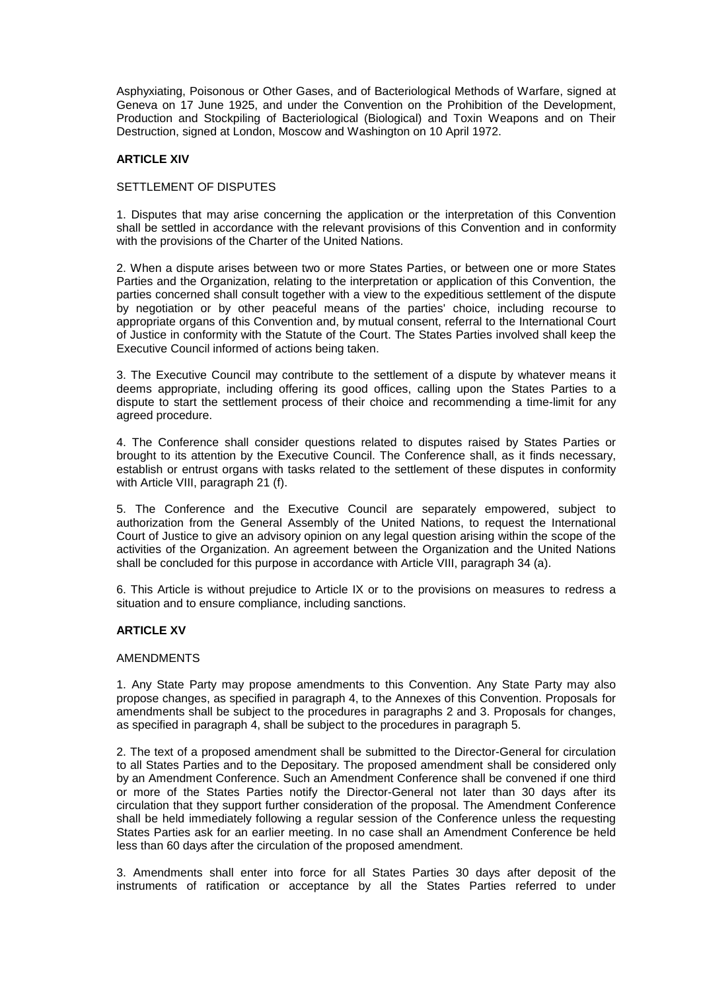Asphyxiating, Poisonous or Other Gases, and of Bacteriological Methods of Warfare, signed at Geneva on 17 June 1925, and under the Convention on the Prohibition of the Development, Production and Stockpiling of Bacteriological (Biological) and Toxin Weapons and on Their Destruction, signed at London, Moscow and Washington on 10 April 1972.

## **ARTICLE XIV**

## SETTLEMENT OF DISPUTES

1. Disputes that may arise concerning the application or the interpretation of this Convention shall be settled in accordance with the relevant provisions of this Convention and in conformity with the provisions of the Charter of the United Nations.

2. When a dispute arises between two or more States Parties, or between one or more States Parties and the Organization, relating to the interpretation or application of this Convention, the parties concerned shall consult together with a view to the expeditious settlement of the dispute by negotiation or by other peaceful means of the parties' choice, including recourse to appropriate organs of this Convention and, by mutual consent, referral to the International Court of Justice in conformity with the Statute of the Court. The States Parties involved shall keep the Executive Council informed of actions being taken.

3. The Executive Council may contribute to the settlement of a dispute by whatever means it deems appropriate, including offering its good offices, calling upon the States Parties to a dispute to start the settlement process of their choice and recommending a time-limit for any agreed procedure.

4. The Conference shall consider questions related to disputes raised by States Parties or brought to its attention by the Executive Council. The Conference shall, as it finds necessary, establish or entrust organs with tasks related to the settlement of these disputes in conformity with Article VIII, paragraph 21 (f).

5. The Conference and the Executive Council are separately empowered, subject to authorization from the General Assembly of the United Nations, to request the International Court of Justice to give an advisory opinion on any legal question arising within the scope of the activities of the Organization. An agreement between the Organization and the United Nations shall be concluded for this purpose in accordance with Article VIII, paragraph 34 (a).

6. This Article is without prejudice to Article IX or to the provisions on measures to redress a situation and to ensure compliance, including sanctions.

## **ARTICLE XV**

## AMENDMENTS

1. Any State Party may propose amendments to this Convention. Any State Party may also propose changes, as specified in paragraph 4, to the Annexes of this Convention. Proposals for amendments shall be subject to the procedures in paragraphs 2 and 3. Proposals for changes, as specified in paragraph 4, shall be subject to the procedures in paragraph 5.

2. The text of a proposed amendment shall be submitted to the Director-General for circulation to all States Parties and to the Depositary. The proposed amendment shall be considered only by an Amendment Conference. Such an Amendment Conference shall be convened if one third or more of the States Parties notify the Director-General not later than 30 days after its circulation that they support further consideration of the proposal. The Amendment Conference shall be held immediately following a regular session of the Conference unless the requesting States Parties ask for an earlier meeting. In no case shall an Amendment Conference be held less than 60 days after the circulation of the proposed amendment.

3. Amendments shall enter into force for all States Parties 30 days after deposit of the instruments of ratification or acceptance by all the States Parties referred to under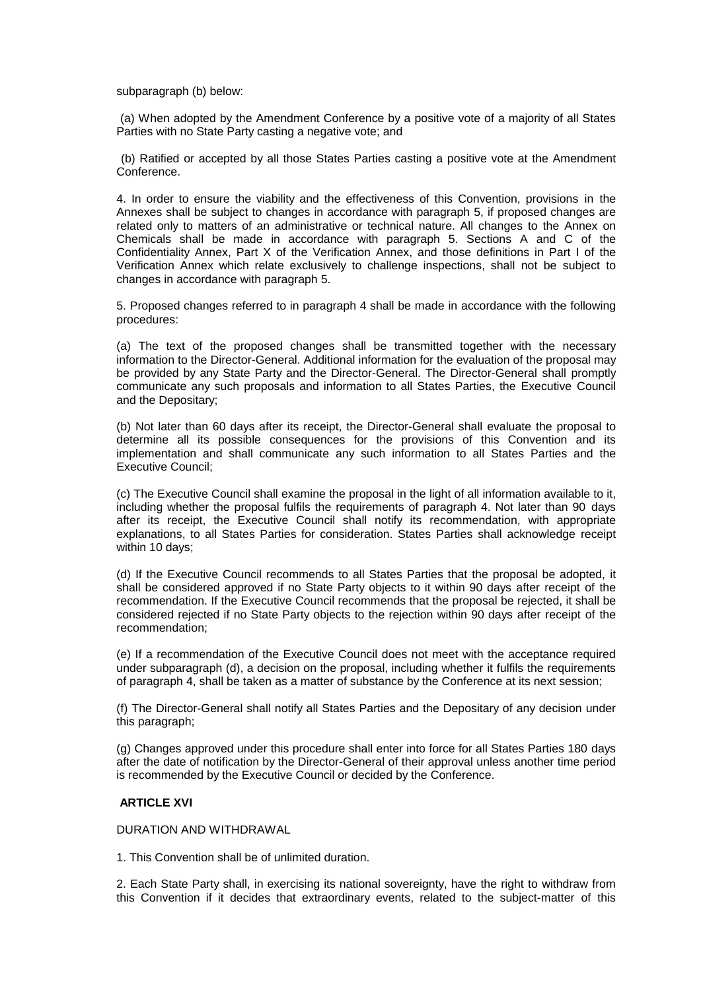subparagraph (b) below:

(a) When adopted by the Amendment Conference by a positive vote of a majority of all States Parties with no State Party casting a negative vote; and

(b) Ratified or accepted by all those States Parties casting a positive vote at the Amendment Conference.

4. In order to ensure the viability and the effectiveness of this Convention, provisions in the Annexes shall be subject to changes in accordance with paragraph 5, if proposed changes are related only to matters of an administrative or technical nature. All changes to the Annex on Chemicals shall be made in accordance with paragraph 5. Sections A and C of the Confidentiality Annex, Part X of the Verification Annex, and those definitions in Part I of the Verification Annex which relate exclusively to challenge inspections, shall not be subject to changes in accordance with paragraph 5.

5. Proposed changes referred to in paragraph 4 shall be made in accordance with the following procedures:

(a) The text of the proposed changes shall be transmitted together with the necessary information to the Director-General. Additional information for the evaluation of the proposal may be provided by any State Party and the Director-General. The Director-General shall promptly communicate any such proposals and information to all States Parties, the Executive Council and the Depositary;

(b) Not later than 60 days after its receipt, the Director-General shall evaluate the proposal to determine all its possible consequences for the provisions of this Convention and its implementation and shall communicate any such information to all States Parties and the Executive Council;

(c) The Executive Council shall examine the proposal in the light of all information available to it, including whether the proposal fulfils the requirements of paragraph 4. Not later than 90 days after its receipt, the Executive Council shall notify its recommendation, with appropriate explanations, to all States Parties for consideration. States Parties shall acknowledge receipt within 10 days;

(d) If the Executive Council recommends to all States Parties that the proposal be adopted, it shall be considered approved if no State Party objects to it within 90 days after receipt of the recommendation. If the Executive Council recommends that the proposal be rejected, it shall be considered rejected if no State Party objects to the rejection within 90 days after receipt of the recommendation;

(e) If a recommendation of the Executive Council does not meet with the acceptance required under subparagraph (d), a decision on the proposal, including whether it fulfils the requirements of paragraph 4, shall be taken as a matter of substance by the Conference at its next session;

(f) The Director-General shall notify all States Parties and the Depositary of any decision under this paragraph;

(g) Changes approved under this procedure shall enter into force for all States Parties 180 days after the date of notification by the Director-General of their approval unless another time period is recommended by the Executive Council or decided by the Conference.

## **ARTICLE XVI**

DURATION AND WITHDRAWAL

1. This Convention shall be of unlimited duration.

2. Each State Party shall, in exercising its national sovereignty, have the right to withdraw from this Convention if it decides that extraordinary events, related to the subject-matter of this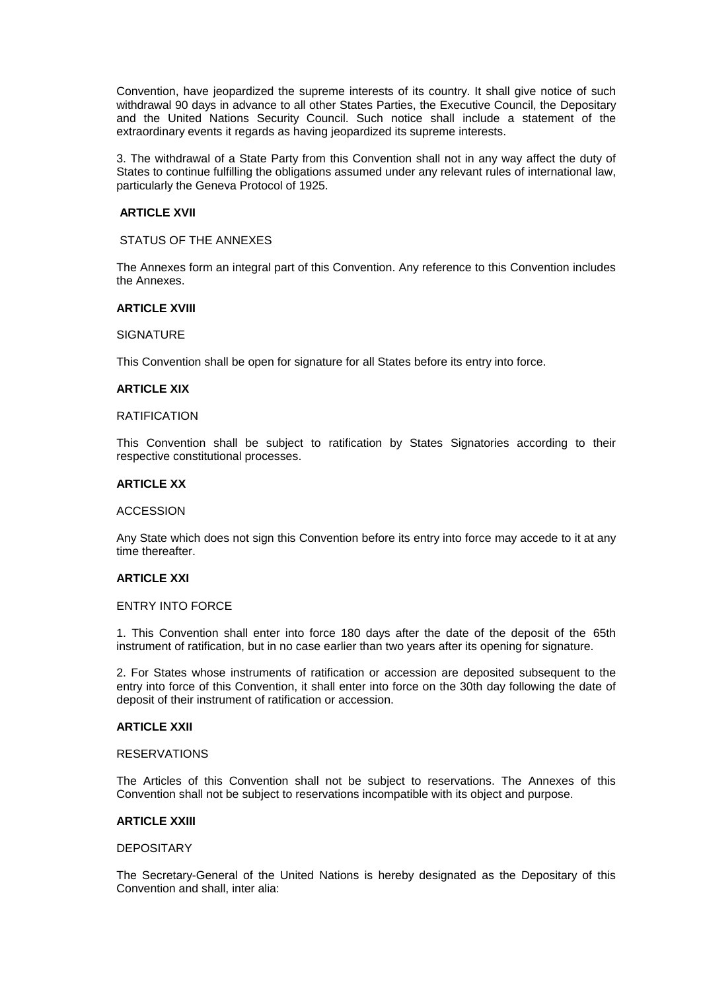Convention, have jeopardized the supreme interests of its country. It shall give notice of such withdrawal 90 days in advance to all other States Parties, the Executive Council, the Depositary and the United Nations Security Council. Such notice shall include a statement of the extraordinary events it regards as having jeopardized its supreme interests.

3. The withdrawal of a State Party from this Convention shall not in any way affect the duty of States to continue fulfilling the obligations assumed under any relevant rules of international law, particularly the Geneva Protocol of 1925.

## **ARTICLE XVII**

### STATUS OF THE ANNEXES

The Annexes form an integral part of this Convention. Any reference to this Convention includes the Annexes.

### **ARTICLE XVIII**

### **SIGNATURE**

This Convention shall be open for signature for all States before its entry into force.

### **ARTICLE XIX**

### RATIFICATION

This Convention shall be subject to ratification by States Signatories according to their respective constitutional processes.

## **ARTICLE XX**

### **ACCESSION**

Any State which does not sign this Convention before its entry into force may accede to it at any time thereafter.

## **ARTICLE XXI**

### ENTRY INTO FORCE

1. This Convention shall enter into force 180 days after the date of the deposit of the 65th instrument of ratification, but in no case earlier than two years after its opening for signature.

2. For States whose instruments of ratification or accession are deposited subsequent to the entry into force of this Convention, it shall enter into force on the 30th day following the date of deposit of their instrument of ratification or accession.

## **ARTICLE XXII**

### RESERVATIONS

The Articles of this Convention shall not be subject to reservations. The Annexes of this Convention shall not be subject to reservations incompatible with its object and purpose.

### **ARTICLE XXIII**

#### DEPOSITARY

The Secretary-General of the United Nations is hereby designated as the Depositary of this Convention and shall, inter alia: